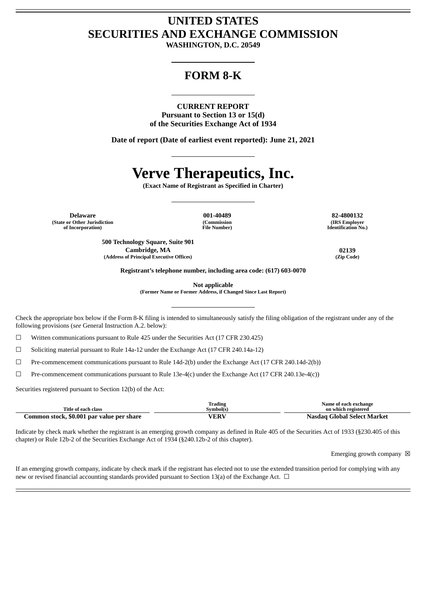# **UNITED STATES SECURITIES AND EXCHANGE COMMISSION**

**WASHINGTON, D.C. 20549**

# **FORM 8-K**

**CURRENT REPORT Pursuant to Section 13 or 15(d) of the Securities Exchange Act of 1934**

**Date of report (Date of earliest event reported): June 21, 2021**

# **Verve Therapeutics, Inc.**

**(Exact Name of Registrant as Specified in Charter)**

**Delaware 001-40489 82-4800132 (State or Other Jurisdiction of Incorporation)**

**(Commission File Number)**

**(IRS Employer Identification No.)**

**500 Technology Square, Suite 901 Cambridge, MA 02139 (Address of Principal Executive Offices) (Zip Code)**

**Registrant's telephone number, including area code: (617) 603-0070**

**Not applicable**

**(Former Name or Former Address, if Changed Since Last Report)**

Check the appropriate box below if the Form 8-K filing is intended to simultaneously satisfy the filing obligation of the registrant under any of the following provisions (*see* General Instruction A.2. below):

 $\Box$  Written communications pursuant to Rule 425 under the Securities Act (17 CFR 230.425)

 $\Box$  Soliciting material pursuant to Rule 14a-12 under the Exchange Act (17 CFR 240.14a-12)

☐ Pre-commencement communications pursuant to Rule 14d-2(b) under the Exchange Act (17 CFR 240.14d-2(b))

 $\Box$  Pre-commencement communications pursuant to Rule 13e-4(c) under the Exchange Act (17 CFR 240.13e-4(c))

Securities registered pursuant to Section 12(b) of the Act:

|                                           | Trading     | Name of each exchange       |
|-------------------------------------------|-------------|-----------------------------|
| Title of each class                       | Svmbol(s)   | on which registered         |
| Common stock, \$0.001 par value per share | <b>VERV</b> | Nasdag Global Select Market |

Indicate by check mark whether the registrant is an emerging growth company as defined in Rule 405 of the Securities Act of 1933 (§230.405 of this chapter) or Rule 12b-2 of the Securities Exchange Act of 1934 (§240.12b-2 of this chapter).

Emerging growth company  $\boxtimes$ 

If an emerging growth company, indicate by check mark if the registrant has elected not to use the extended transition period for complying with any new or revised financial accounting standards provided pursuant to Section 13(a) of the Exchange Act.  $\Box$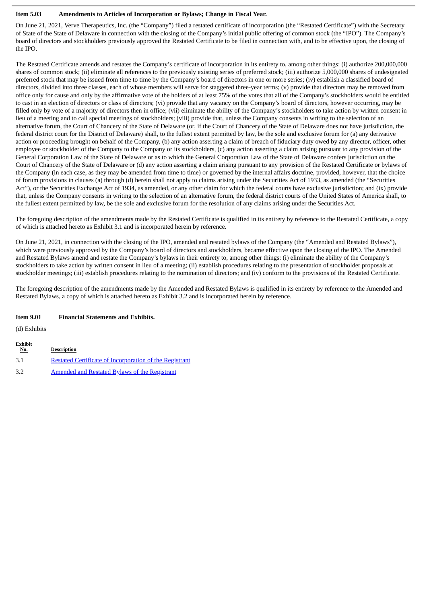#### **Item 5.03 Amendments to Articles of Incorporation or Bylaws; Change in Fiscal Year.**

On June 21, 2021, Verve Therapeutics, Inc. (the "Company") filed a restated certificate of incorporation (the "Restated Certificate") with the Secretary of State of the State of Delaware in connection with the closing of the Company's initial public offering of common stock (the "IPO"). The Company's board of directors and stockholders previously approved the Restated Certificate to be filed in connection with, and to be effective upon, the closing of the IPO.

The Restated Certificate amends and restates the Company's certificate of incorporation in its entirety to, among other things: (i) authorize 200,000,000 shares of common stock; (ii) eliminate all references to the previously existing series of preferred stock; (iii) authorize 5,000,000 shares of undesignated preferred stock that may be issued from time to time by the Company's board of directors in one or more series; (iv) establish a classified board of directors, divided into three classes, each of whose members will serve for staggered three-year terms; (v) provide that directors may be removed from office only for cause and only by the affirmative vote of the holders of at least 75% of the votes that all of the Company's stockholders would be entitled to cast in an election of directors or class of directors; (vi) provide that any vacancy on the Company's board of directors, however occurring, may be filled only by vote of a majority of directors then in office; (vii) eliminate the ability of the Company's stockholders to take action by written consent in lieu of a meeting and to call special meetings of stockholders; (viii) provide that, unless the Company consents in writing to the selection of an alternative forum, the Court of Chancery of the State of Delaware (or, if the Court of Chancery of the State of Delaware does not have jurisdiction, the federal district court for the District of Delaware) shall, to the fullest extent permitted by law, be the sole and exclusive forum for (a) any derivative action or proceeding brought on behalf of the Company, (b) any action asserting a claim of breach of fiduciary duty owed by any director, officer, other employee or stockholder of the Company to the Company or its stockholders, (c) any action asserting a claim arising pursuant to any provision of the General Corporation Law of the State of Delaware or as to which the General Corporation Law of the State of Delaware confers jurisdiction on the Court of Chancery of the State of Delaware or (d) any action asserting a claim arising pursuant to any provision of the Restated Certificate or bylaws of the Company (in each case, as they may be amended from time to time) or governed by the internal affairs doctrine, provided, however, that the choice of forum provisions in clauses (a) through (d) herein shall not apply to claims arising under the Securities Act of 1933, as amended (the "Securities Act"), or the Securities Exchange Act of 1934, as amended, or any other claim for which the federal courts have exclusive jurisdiction; and (ix) provide that, unless the Company consents in writing to the selection of an alternative forum, the federal district courts of the United States of America shall, to the fullest extent permitted by law, be the sole and exclusive forum for the resolution of any claims arising under the Securities Act.

The foregoing description of the amendments made by the Restated Certificate is qualified in its entirety by reference to the Restated Certificate, a copy of which is attached hereto as Exhibit 3.1 and is incorporated herein by reference.

On June 21, 2021, in connection with the closing of the IPO, amended and restated bylaws of the Company (the "Amended and Restated Bylaws"), which were previously approved by the Company's board of directors and stockholders, became effective upon the closing of the IPO. The Amended and Restated Bylaws amend and restate the Company's bylaws in their entirety to, among other things: (i) eliminate the ability of the Company's stockholders to take action by written consent in lieu of a meeting; (ii) establish procedures relating to the presentation of stockholder proposals at stockholder meetings; (iii) establish procedures relating to the nomination of directors; and (iv) conform to the provisions of the Restated Certificate.

The foregoing description of the amendments made by the Amended and Restated Bylaws is qualified in its entirety by reference to the Amended and Restated Bylaws, a copy of which is attached hereto as Exhibit 3.2 and is incorporated herein by reference.

#### **Item 9.01 Financial Statements and Exhibits.**

(d) Exhibits

| <b>Exhibit</b><br><u>No.</u> | <b>Description</b>                                      |
|------------------------------|---------------------------------------------------------|
| 3.1                          | Restated Certificate of Incorporation of the Registrant |
| 3.2                          | <b>Amended and Restated Bylaws of the Registrant</b>    |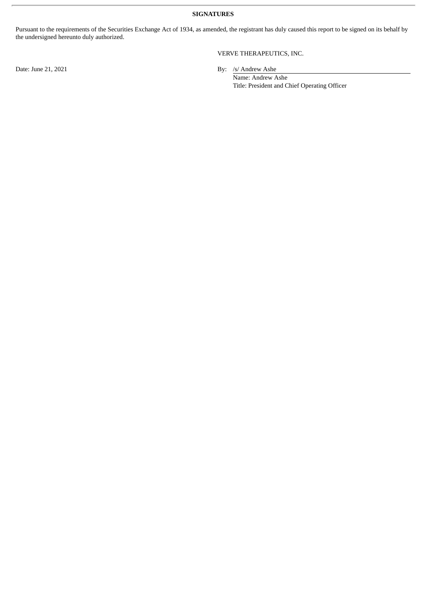**SIGNATURES**

Pursuant to the requirements of the Securities Exchange Act of 1934, as amended, the registrant has duly caused this report to be signed on its behalf by the undersigned hereunto duly authorized.

## VERVE THERAPEUTICS, INC.

Date: June 21, 2021 By: /s/ Andrew Ashe

Name: Andrew Ashe Title: President and Chief Operating Officer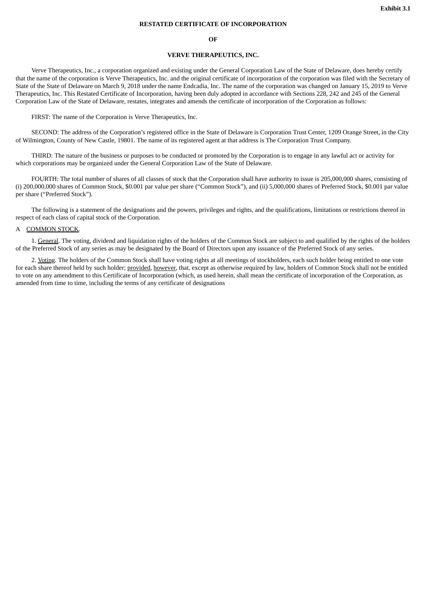#### **RESTATED CERTIFICATE OF INCORPORATION**

#### **OF**

#### **VERVE THERAPEUTICS, INC.**

<span id="page-3-0"></span>Verve Therapeutics, Inc., a corporation organized and existing under the General Corporation Law of the State of Delaware, does hereby certify that the name of the corporation is Verve Therapeutics, Inc. and the original certificate of incorporation of the corporation was filed with the Secretary of State of the State of Delaware on March 9, 2018 under the name Endcadia, Inc. The name of the corporation was changed on January 15, 2019 to Verve Therapeutics, Inc. This Restated Certificate of Incorporation, having been duly adopted in accordance with Sections 228, 242 and 245 of the General Corporation Law of the State of Delaware, restates, integrates and amends the certificate of incorporation of the Corporation as follows:

FIRST: The name of the Corporation is Verve Therapeutics, Inc.

SECOND: The address of the Corporation's registered office in the State of Delaware is Corporation Trust Center, 1209 Orange Street, in the City of Wilmington, County of New Castle, 19801. The name of its registered agent at that address is The Corporation Trust Company.

THIRD: The nature of the business or purposes to be conducted or promoted by the Corporation is to engage in any lawful act or activity for which corporations may be organized under the General Corporation Law of the State of Delaware.

FOURTH: The total number of shares of all classes of stock that the Corporation shall have authority to issue is 205,000,000 shares, consisting of (i) 200,000,000 shares of Common Stock, \$0.001 par value per share ("Common Stock"), and (ii) 5,000,000 shares of Preferred Stock, \$0.001 par value per share ("Preferred Stock").

The following is a statement of the designations and the powers, privileges and rights, and the qualifications, limitations or restrictions thereof in respect of each class of capital stock of the Corporation.

#### A COMMON STOCK.

1. General. The voting, dividend and liquidation rights of the holders of the Common Stock are subject to and qualified by the rights of the holders of the Preferred Stock of any series as may be designated by the Board of Directors upon any issuance of the Preferred Stock of any series.

2. Voting. The holders of the Common Stock shall have voting rights at all meetings of stockholders, each such holder being entitled to one vote for each share thereof held by such holder; provided, however, that, except as otherwise required by law, holders of Common Stock shall not be entitled to vote on any amendment to this Certificate of Incorporation (which, as used herein, shall mean the certificate of incorporation of the Corporation, as amended from time to time, including the terms of any certificate of designations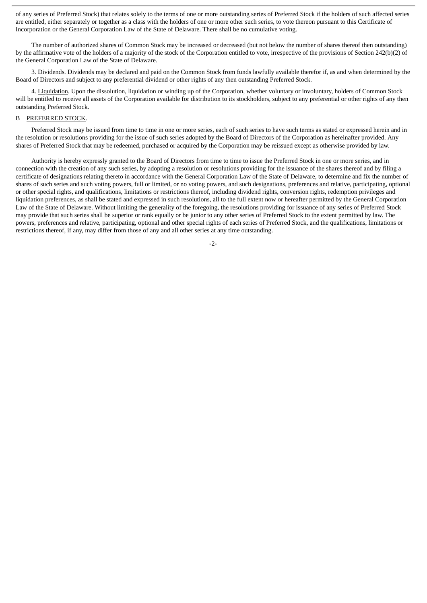of any series of Preferred Stock) that relates solely to the terms of one or more outstanding series of Preferred Stock if the holders of such affected series are entitled, either separately or together as a class with the holders of one or more other such series, to vote thereon pursuant to this Certificate of Incorporation or the General Corporation Law of the State of Delaware. There shall be no cumulative voting.

The number of authorized shares of Common Stock may be increased or decreased (but not below the number of shares thereof then outstanding) by the affirmative vote of the holders of a majority of the stock of the Corporation entitled to vote, irrespective of the provisions of Section 242(b)(2) of the General Corporation Law of the State of Delaware.

3. Dividends. Dividends may be declared and paid on the Common Stock from funds lawfully available therefor if, as and when determined by the Board of Directors and subject to any preferential dividend or other rights of any then outstanding Preferred Stock.

4. Liquidation. Upon the dissolution, liquidation or winding up of the Corporation, whether voluntary or involuntary, holders of Common Stock will be entitled to receive all assets of the Corporation available for distribution to its stockholders, subject to any preferential or other rights of any then outstanding Preferred Stock.

#### B PREFERRED STOCK.

Preferred Stock may be issued from time to time in one or more series, each of such series to have such terms as stated or expressed herein and in the resolution or resolutions providing for the issue of such series adopted by the Board of Directors of the Corporation as hereinafter provided. Any shares of Preferred Stock that may be redeemed, purchased or acquired by the Corporation may be reissued except as otherwise provided by law.

Authority is hereby expressly granted to the Board of Directors from time to time to issue the Preferred Stock in one or more series, and in connection with the creation of any such series, by adopting a resolution or resolutions providing for the issuance of the shares thereof and by filing a certificate of designations relating thereto in accordance with the General Corporation Law of the State of Delaware, to determine and fix the number of shares of such series and such voting powers, full or limited, or no voting powers, and such designations, preferences and relative, participating, optional or other special rights, and qualifications, limitations or restrictions thereof, including dividend rights, conversion rights, redemption privileges and liquidation preferences, as shall be stated and expressed in such resolutions, all to the full extent now or hereafter permitted by the General Corporation Law of the State of Delaware. Without limiting the generality of the foregoing, the resolutions providing for issuance of any series of Preferred Stock may provide that such series shall be superior or rank equally or be junior to any other series of Preferred Stock to the extent permitted by law. The powers, preferences and relative, participating, optional and other special rights of each series of Preferred Stock, and the qualifications, limitations or restrictions thereof, if any, may differ from those of any and all other series at any time outstanding.

-2-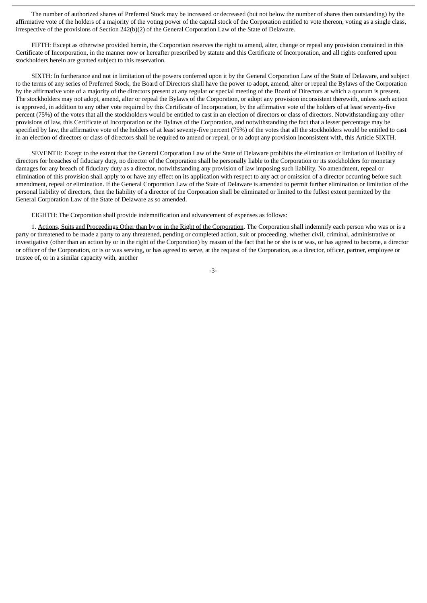The number of authorized shares of Preferred Stock may be increased or decreased (but not below the number of shares then outstanding) by the affirmative vote of the holders of a majority of the voting power of the capital stock of the Corporation entitled to vote thereon, voting as a single class, irrespective of the provisions of Section 242(b)(2) of the General Corporation Law of the State of Delaware.

FIFTH: Except as otherwise provided herein, the Corporation reserves the right to amend, alter, change or repeal any provision contained in this Certificate of Incorporation, in the manner now or hereafter prescribed by statute and this Certificate of Incorporation, and all rights conferred upon stockholders herein are granted subject to this reservation.

SIXTH: In furtherance and not in limitation of the powers conferred upon it by the General Corporation Law of the State of Delaware, and subject to the terms of any series of Preferred Stock, the Board of Directors shall have the power to adopt, amend, alter or repeal the Bylaws of the Corporation by the affirmative vote of a majority of the directors present at any regular or special meeting of the Board of Directors at which a quorum is present. The stockholders may not adopt, amend, alter or repeal the Bylaws of the Corporation, or adopt any provision inconsistent therewith, unless such action is approved, in addition to any other vote required by this Certificate of Incorporation, by the affirmative vote of the holders of at least seventy-five percent (75%) of the votes that all the stockholders would be entitled to cast in an election of directors or class of directors. Notwithstanding any other provisions of law, this Certificate of Incorporation or the Bylaws of the Corporation, and notwithstanding the fact that a lesser percentage may be specified by law, the affirmative vote of the holders of at least seventy-five percent (75%) of the votes that all the stockholders would be entitled to cast in an election of directors or class of directors shall be required to amend or repeal, or to adopt any provision inconsistent with, this Article SIXTH.

SEVENTH: Except to the extent that the General Corporation Law of the State of Delaware prohibits the elimination or limitation of liability of directors for breaches of fiduciary duty, no director of the Corporation shall be personally liable to the Corporation or its stockholders for monetary damages for any breach of fiduciary duty as a director, notwithstanding any provision of law imposing such liability. No amendment, repeal or elimination of this provision shall apply to or have any effect on its application with respect to any act or omission of a director occurring before such amendment, repeal or elimination. If the General Corporation Law of the State of Delaware is amended to permit further elimination or limitation of the personal liability of directors, then the liability of a director of the Corporation shall be eliminated or limited to the fullest extent permitted by the General Corporation Law of the State of Delaware as so amended.

EIGHTH: The Corporation shall provide indemnification and advancement of expenses as follows:

1. Actions, Suits and Proceedings Other than by or in the Right of the Corporation. The Corporation shall indemnify each person who was or is a party or threatened to be made a party to any threatened, pending or completed action, suit or proceeding, whether civil, criminal, administrative or investigative (other than an action by or in the right of the Corporation) by reason of the fact that he or she is or was, or has agreed to become, a director or officer of the Corporation, or is or was serving, or has agreed to serve, at the request of the Corporation, as a director, officer, partner, employee or trustee of, or in a similar capacity with, another

-3-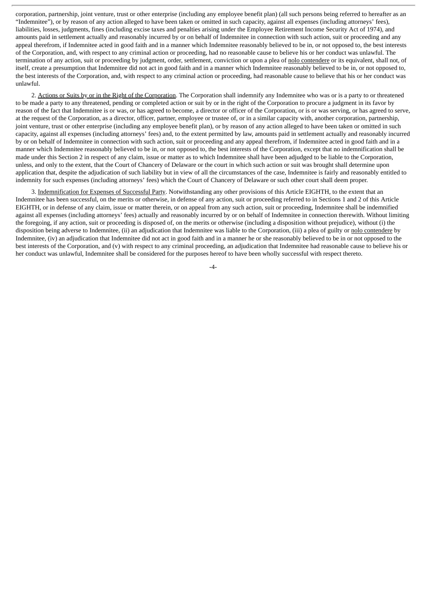corporation, partnership, joint venture, trust or other enterprise (including any employee benefit plan) (all such persons being referred to hereafter as an "Indemnitee"), or by reason of any action alleged to have been taken or omitted in such capacity, against all expenses (including attorneys' fees), liabilities, losses, judgments, fines (including excise taxes and penalties arising under the Employee Retirement Income Security Act of 1974), and amounts paid in settlement actually and reasonably incurred by or on behalf of Indemnitee in connection with such action, suit or proceeding and any appeal therefrom, if Indemnitee acted in good faith and in a manner which Indemnitee reasonably believed to be in, or not opposed to, the best interests of the Corporation, and, with respect to any criminal action or proceeding, had no reasonable cause to believe his or her conduct was unlawful. The termination of any action, suit or proceeding by judgment, order, settlement, conviction or upon a plea of nolo contendere or its equivalent, shall not, of itself, create a presumption that Indemnitee did not act in good faith and in a manner which Indemnitee reasonably believed to be in, or not opposed to, the best interests of the Corporation, and, with respect to any criminal action or proceeding, had reasonable cause to believe that his or her conduct was unlawful.

2. Actions or Suits by or in the Right of the Corporation. The Corporation shall indemnify any Indemnitee who was or is a party to or threatened to be made a party to any threatened, pending or completed action or suit by or in the right of the Corporation to procure a judgment in its favor by reason of the fact that Indemnitee is or was, or has agreed to become, a director or officer of the Corporation, or is or was serving, or has agreed to serve, at the request of the Corporation, as a director, officer, partner, employee or trustee of, or in a similar capacity with, another corporation, partnership, joint venture, trust or other enterprise (including any employee benefit plan), or by reason of any action alleged to have been taken or omitted in such capacity, against all expenses (including attorneys' fees) and, to the extent permitted by law, amounts paid in settlement actually and reasonably incurred by or on behalf of Indemnitee in connection with such action, suit or proceeding and any appeal therefrom, if Indemnitee acted in good faith and in a manner which Indemnitee reasonably believed to be in, or not opposed to, the best interests of the Corporation, except that no indemnification shall be made under this Section 2 in respect of any claim, issue or matter as to which Indemnitee shall have been adjudged to be liable to the Corporation, unless, and only to the extent, that the Court of Chancery of Delaware or the court in which such action or suit was brought shall determine upon application that, despite the adjudication of such liability but in view of all the circumstances of the case, Indemnitee is fairly and reasonably entitled to indemnity for such expenses (including attorneys' fees) which the Court of Chancery of Delaware or such other court shall deem proper.

3. Indemnification for Expenses of Successful Party. Notwithstanding any other provisions of this Article EIGHTH, to the extent that an Indemnitee has been successful, on the merits or otherwise, in defense of any action, suit or proceeding referred to in Sections 1 and 2 of this Article EIGHTH, or in defense of any claim, issue or matter therein, or on appeal from any such action, suit or proceeding, Indemnitee shall be indemnified against all expenses (including attorneys' fees) actually and reasonably incurred by or on behalf of Indemnitee in connection therewith. Without limiting the foregoing, if any action, suit or proceeding is disposed of, on the merits or otherwise (including a disposition without prejudice), without (i) the disposition being adverse to Indemnitee, (ii) an adjudication that Indemnitee was liable to the Corporation, (iii) a plea of guilty or nolo contendere by Indemnitee, (iv) an adjudication that Indemnitee did not act in good faith and in a manner he or she reasonably believed to be in or not opposed to the best interests of the Corporation, and (v) with respect to any criminal proceeding, an adjudication that Indemnitee had reasonable cause to believe his or her conduct was unlawful, Indemnitee shall be considered for the purposes hereof to have been wholly successful with respect thereto.

 $-4$ -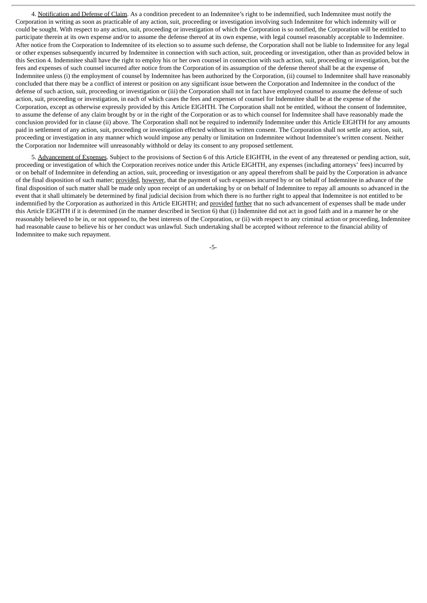4. Notification and Defense of Claim. As a condition precedent to an Indemnitee's right to be indemnified, such Indemnitee must notify the Corporation in writing as soon as practicable of any action, suit, proceeding or investigation involving such Indemnitee for which indemnity will or could be sought. With respect to any action, suit, proceeding or investigation of which the Corporation is so notified, the Corporation will be entitled to participate therein at its own expense and/or to assume the defense thereof at its own expense, with legal counsel reasonably acceptable to Indemnitee. After notice from the Corporation to Indemnitee of its election so to assume such defense, the Corporation shall not be liable to Indemnitee for any legal or other expenses subsequently incurred by Indemnitee in connection with such action, suit, proceeding or investigation, other than as provided below in this Section 4. Indemnitee shall have the right to employ his or her own counsel in connection with such action, suit, proceeding or investigation, but the fees and expenses of such counsel incurred after notice from the Corporation of its assumption of the defense thereof shall be at the expense of Indemnitee unless (i) the employment of counsel by Indemnitee has been authorized by the Corporation, (ii) counsel to Indemnitee shall have reasonably concluded that there may be a conflict of interest or position on any significant issue between the Corporation and Indemnitee in the conduct of the defense of such action, suit, proceeding or investigation or (iii) the Corporation shall not in fact have employed counsel to assume the defense of such action, suit, proceeding or investigation, in each of which cases the fees and expenses of counsel for Indemnitee shall be at the expense of the Corporation, except as otherwise expressly provided by this Article EIGHTH. The Corporation shall not be entitled, without the consent of Indemnitee, to assume the defense of any claim brought by or in the right of the Corporation or as to which counsel for Indemnitee shall have reasonably made the conclusion provided for in clause (ii) above. The Corporation shall not be required to indemnify Indemnitee under this Article EIGHTH for any amounts paid in settlement of any action, suit, proceeding or investigation effected without its written consent. The Corporation shall not settle any action, suit, proceeding or investigation in any manner which would impose any penalty or limitation on Indemnitee without Indemnitee's written consent. Neither the Corporation nor Indemnitee will unreasonably withhold or delay its consent to any proposed settlement.

5. Advancement of Expenses. Subject to the provisions of Section 6 of this Article EIGHTH, in the event of any threatened or pending action, suit, proceeding or investigation of which the Corporation receives notice under this Article EIGHTH, any expenses (including attorneys' fees) incurred by or on behalf of Indemnitee in defending an action, suit, proceeding or investigation or any appeal therefrom shall be paid by the Corporation in advance of the final disposition of such matter; provided, however, that the payment of such expenses incurred by or on behalf of Indemnitee in advance of the final disposition of such matter shall be made only upon receipt of an undertaking by or on behalf of Indemnitee to repay all amounts so advanced in the event that it shall ultimately be determined by final judicial decision from which there is no further right to appeal that Indemnitee is not entitled to be indemnified by the Corporation as authorized in this Article EIGHTH; and provided further that no such advancement of expenses shall be made under this Article EIGHTH if it is determined (in the manner described in Section 6) that (i) Indemnitee did not act in good faith and in a manner he or she reasonably believed to be in, or not opposed to, the best interests of the Corporation, or (ii) with respect to any criminal action or proceeding, Indemnitee had reasonable cause to believe his or her conduct was unlawful. Such undertaking shall be accepted without reference to the financial ability of Indemnitee to make such repayment.

-5-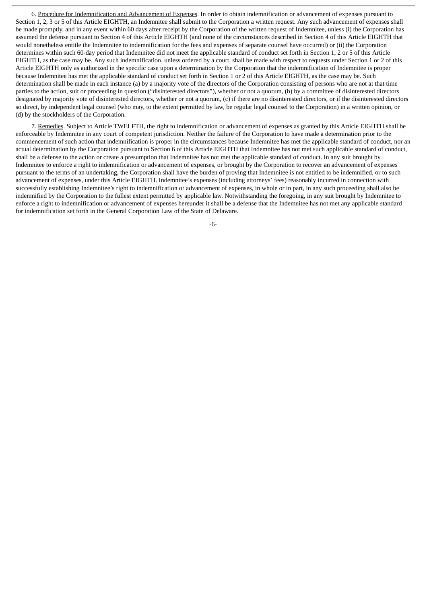6. Procedure for Indemnification and Advancement of Expenses. In order to obtain indemnification or advancement of expenses pursuant to Section 1, 2, 3 or 5 of this Article EIGHTH, an Indemnitee shall submit to the Corporation a written request. Any such advancement of expenses shall be made promptly, and in any event within 60 days after receipt by the Corporation of the written request of Indemnitee, unless (i) the Corporation has assumed the defense pursuant to Section 4 of this Article EIGHTH (and none of the circumstances described in Section 4 of this Article EIGHTH that would nonetheless entitle the Indemnitee to indemnification for the fees and expenses of separate counsel have occurred) or (ii) the Corporation determines within such 60-day period that Indemnitee did not meet the applicable standard of conduct set forth in Section 1, 2 or 5 of this Article EIGHTH, as the case may be. Any such indemnification, unless ordered by a court, shall be made with respect to requests under Section 1 or 2 of this Article EIGHTH only as authorized in the specific case upon a determination by the Corporation that the indemnification of Indemnitee is proper because Indemnitee has met the applicable standard of conduct set forth in Section 1 or 2 of this Article EIGHTH, as the case may be. Such determination shall be made in each instance (a) by a majority vote of the directors of the Corporation consisting of persons who are not at that time parties to the action, suit or proceeding in question ("disinterested directors"), whether or not a quorum, (b) by a committee of disinterested directors designated by majority vote of disinterested directors, whether or not a quorum, (c) if there are no disinterested directors, or if the disinterested directors so direct, by independent legal counsel (who may, to the extent permitted by law, be regular legal counsel to the Corporation) in a written opinion, or (d) by the stockholders of the Corporation.

7. Remedies. Subject to Article TWELFTH, the right to indemnification or advancement of expenses as granted by this Article EIGHTH shall be enforceable by Indemnitee in any court of competent jurisdiction. Neither the failure of the Corporation to have made a determination prior to the commencement of such action that indemnification is proper in the circumstances because Indemnitee has met the applicable standard of conduct, nor an actual determination by the Corporation pursuant to Section 6 of this Article EIGHTH that Indemnitee has not met such applicable standard of conduct, shall be a defense to the action or create a presumption that Indemnitee has not met the applicable standard of conduct. In any suit brought by Indemnitee to enforce a right to indemnification or advancement of expenses, or brought by the Corporation to recover an advancement of expenses pursuant to the terms of an undertaking, the Corporation shall have the burden of proving that Indemnitee is not entitled to be indemnified, or to such advancement of expenses, under this Article EIGHTH. Indemnitee's expenses (including attorneys' fees) reasonably incurred in connection with successfully establishing Indemnitee's right to indemnification or advancement of expenses, in whole or in part, in any such proceeding shall also be indemnified by the Corporation to the fullest extent permitted by applicable law. Notwithstanding the foregoing, in any suit brought by Indemnitee to enforce a right to indemnification or advancement of expenses hereunder it shall be a defense that the Indemnitee has not met any applicable standard for indemnification set forth in the General Corporation Law of the State of Delaware.

-6-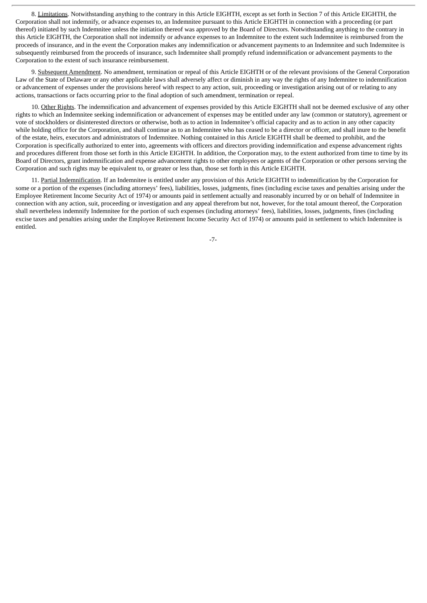8. Limitations. Notwithstanding anything to the contrary in this Article EIGHTH, except as set forth in Section 7 of this Article EIGHTH, the Corporation shall not indemnify, or advance expenses to, an Indemnitee pursuant to this Article EIGHTH in connection with a proceeding (or part thereof) initiated by such Indemnitee unless the initiation thereof was approved by the Board of Directors. Notwithstanding anything to the contrary in this Article EIGHTH, the Corporation shall not indemnify or advance expenses to an Indemnitee to the extent such Indemnitee is reimbursed from the proceeds of insurance, and in the event the Corporation makes any indemnification or advancement payments to an Indemnitee and such Indemnitee is subsequently reimbursed from the proceeds of insurance, such Indemnitee shall promptly refund indemnification or advancement payments to the Corporation to the extent of such insurance reimbursement.

9. Subsequent Amendment. No amendment, termination or repeal of this Article EIGHTH or of the relevant provisions of the General Corporation Law of the State of Delaware or any other applicable laws shall adversely affect or diminish in any way the rights of any Indemnitee to indemnification or advancement of expenses under the provisions hereof with respect to any action, suit, proceeding or investigation arising out of or relating to any actions, transactions or facts occurring prior to the final adoption of such amendment, termination or repeal.

10. Other Rights. The indemnification and advancement of expenses provided by this Article EIGHTH shall not be deemed exclusive of any other rights to which an Indemnitee seeking indemnification or advancement of expenses may be entitled under any law (common or statutory), agreement or vote of stockholders or disinterested directors or otherwise, both as to action in Indemnitee's official capacity and as to action in any other capacity while holding office for the Corporation, and shall continue as to an Indemnitee who has ceased to be a director or officer, and shall inure to the benefit of the estate, heirs, executors and administrators of Indemnitee. Nothing contained in this Article EIGHTH shall be deemed to prohibit, and the Corporation is specifically authorized to enter into, agreements with officers and directors providing indemnification and expense advancement rights and procedures different from those set forth in this Article EIGHTH. In addition, the Corporation may, to the extent authorized from time to time by its Board of Directors, grant indemnification and expense advancement rights to other employees or agents of the Corporation or other persons serving the Corporation and such rights may be equivalent to, or greater or less than, those set forth in this Article EIGHTH.

11. Partial Indemnification. If an Indemnitee is entitled under any provision of this Article EIGHTH to indemnification by the Corporation for some or a portion of the expenses (including attorneys' fees), liabilities, losses, judgments, fines (including excise taxes and penalties arising under the Employee Retirement Income Security Act of 1974) or amounts paid in settlement actually and reasonably incurred by or on behalf of Indemnitee in connection with any action, suit, proceeding or investigation and any appeal therefrom but not, however, for the total amount thereof, the Corporation shall nevertheless indemnify Indemnitee for the portion of such expenses (including attorneys' fees), liabilities, losses, judgments, fines (including excise taxes and penalties arising under the Employee Retirement Income Security Act of 1974) or amounts paid in settlement to which Indemnitee is entitled.

-7-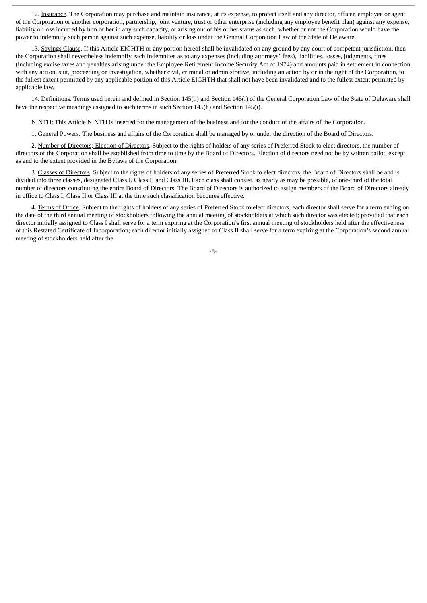12. Insurance. The Corporation may purchase and maintain insurance, at its expense, to protect itself and any director, officer, employee or agent of the Corporation or another corporation, partnership, joint venture, trust or other enterprise (including any employee benefit plan) against any expense, liability or loss incurred by him or her in any such capacity, or arising out of his or her status as such, whether or not the Corporation would have the power to indemnify such person against such expense, liability or loss under the General Corporation Law of the State of Delaware.

13. Savings Clause. If this Article EIGHTH or any portion hereof shall be invalidated on any ground by any court of competent jurisdiction, then the Corporation shall nevertheless indemnify each Indemnitee as to any expenses (including attorneys' fees), liabilities, losses, judgments, fines (including excise taxes and penalties arising under the Employee Retirement Income Security Act of 1974) and amounts paid in settlement in connection with any action, suit, proceeding or investigation, whether civil, criminal or administrative, including an action by or in the right of the Corporation, to the fullest extent permitted by any applicable portion of this Article EIGHTH that shall not have been invalidated and to the fullest extent permitted by applicable law.

14. Definitions. Terms used herein and defined in Section 145(h) and Section 145(i) of the General Corporation Law of the State of Delaware shall have the respective meanings assigned to such terms in such Section 145(h) and Section 145(i).

NINTH: This Article NINTH is inserted for the management of the business and for the conduct of the affairs of the Corporation.

1. General Powers. The business and affairs of the Corporation shall be managed by or under the direction of the Board of Directors.

2. Number of Directors; Election of Directors. Subject to the rights of holders of any series of Preferred Stock to elect directors, the number of directors of the Corporation shall be established from time to time by the Board of Directors. Election of directors need not be by written ballot, except as and to the extent provided in the Bylaws of the Corporation.

3. Classes of Directors. Subject to the rights of holders of any series of Preferred Stock to elect directors, the Board of Directors shall be and is divided into three classes, designated Class I, Class II and Class III. Each class shall consist, as nearly as may be possible, of one-third of the total number of directors constituting the entire Board of Directors. The Board of Directors is authorized to assign members of the Board of Directors already in office to Class I, Class II or Class III at the time such classification becomes effective.

4. Terms of Office. Subject to the rights of holders of any series of Preferred Stock to elect directors, each director shall serve for a term ending on the date of the third annual meeting of stockholders following the annual meeting of stockholders at which such director was elected; provided that each director initially assigned to Class I shall serve for a term expiring at the Corporation's first annual meeting of stockholders held after the effectiveness of this Restated Certificate of Incorporation; each director initially assigned to Class II shall serve for a term expiring at the Corporation's second annual meeting of stockholders held after the

-8-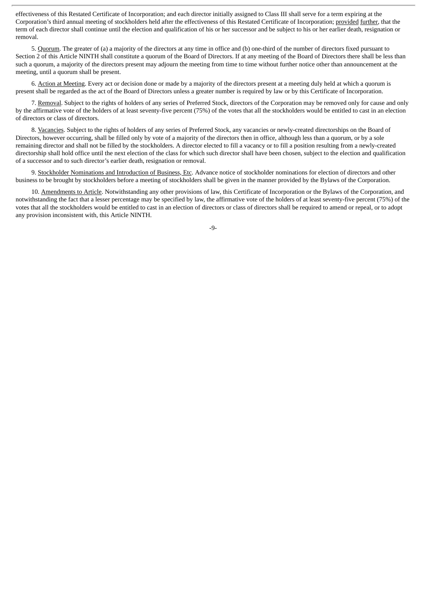effectiveness of this Restated Certificate of Incorporation; and each director initially assigned to Class III shall serve for a term expiring at the Corporation's third annual meeting of stockholders held after the effectiveness of this Restated Certificate of Incorporation; provided further, that the term of each director shall continue until the election and qualification of his or her successor and be subject to his or her earlier death, resignation or removal.

5. Quorum. The greater of (a) a majority of the directors at any time in office and (b) one-third of the number of directors fixed pursuant to Section 2 of this Article NINTH shall constitute a quorum of the Board of Directors. If at any meeting of the Board of Directors there shall be less than such a quorum, a majority of the directors present may adjourn the meeting from time to time without further notice other than announcement at the meeting, until a quorum shall be present.

6. Action at Meeting. Every act or decision done or made by a majority of the directors present at a meeting duly held at which a quorum is present shall be regarded as the act of the Board of Directors unless a greater number is required by law or by this Certificate of Incorporation.

7. Removal. Subject to the rights of holders of any series of Preferred Stock, directors of the Corporation may be removed only for cause and only by the affirmative vote of the holders of at least seventy-five percent (75%) of the votes that all the stockholders would be entitled to cast in an election of directors or class of directors.

8. Vacancies. Subject to the rights of holders of any series of Preferred Stock, any vacancies or newly-created directorships on the Board of Directors, however occurring, shall be filled only by vote of a majority of the directors then in office, although less than a quorum, or by a sole remaining director and shall not be filled by the stockholders. A director elected to fill a vacancy or to fill a position resulting from a newly-created directorship shall hold office until the next election of the class for which such director shall have been chosen, subject to the election and qualification of a successor and to such director's earlier death, resignation or removal.

9. Stockholder Nominations and Introduction of Business, Etc. Advance notice of stockholder nominations for election of directors and other business to be brought by stockholders before a meeting of stockholders shall be given in the manner provided by the Bylaws of the Corporation.

10. Amendments to Article. Notwithstanding any other provisions of law, this Certificate of Incorporation or the Bylaws of the Corporation, and notwithstanding the fact that a lesser percentage may be specified by law, the affirmative vote of the holders of at least seventy-five percent (75%) of the votes that all the stockholders would be entitled to cast in an election of directors or class of directors shall be required to amend or repeal, or to adopt any provision inconsistent with, this Article NINTH.

-9-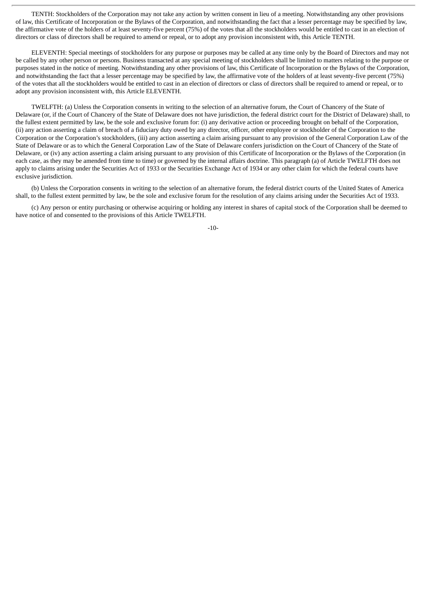TENTH: Stockholders of the Corporation may not take any action by written consent in lieu of a meeting. Notwithstanding any other provisions of law, this Certificate of Incorporation or the Bylaws of the Corporation, and notwithstanding the fact that a lesser percentage may be specified by law, the affirmative vote of the holders of at least seventy-five percent (75%) of the votes that all the stockholders would be entitled to cast in an election of directors or class of directors shall be required to amend or repeal, or to adopt any provision inconsistent with, this Article TENTH.

ELEVENTH: Special meetings of stockholders for any purpose or purposes may be called at any time only by the Board of Directors and may not be called by any other person or persons. Business transacted at any special meeting of stockholders shall be limited to matters relating to the purpose or purposes stated in the notice of meeting. Notwithstanding any other provisions of law, this Certificate of Incorporation or the Bylaws of the Corporation, and notwithstanding the fact that a lesser percentage may be specified by law, the affirmative vote of the holders of at least seventy-five percent (75%) of the votes that all the stockholders would be entitled to cast in an election of directors or class of directors shall be required to amend or repeal, or to adopt any provision inconsistent with, this Article ELEVENTH.

TWELFTH: (a) Unless the Corporation consents in writing to the selection of an alternative forum, the Court of Chancery of the State of Delaware (or, if the Court of Chancery of the State of Delaware does not have jurisdiction, the federal district court for the District of Delaware) shall, to the fullest extent permitted by law, be the sole and exclusive forum for: (i) any derivative action or proceeding brought on behalf of the Corporation, (ii) any action asserting a claim of breach of a fiduciary duty owed by any director, officer, other employee or stockholder of the Corporation to the Corporation or the Corporation's stockholders, (iii) any action asserting a claim arising pursuant to any provision of the General Corporation Law of the State of Delaware or as to which the General Corporation Law of the State of Delaware confers jurisdiction on the Court of Chancery of the State of Delaware, or (iv) any action asserting a claim arising pursuant to any provision of this Certificate of Incorporation or the Bylaws of the Corporation (in each case, as they may be amended from time to time) or governed by the internal affairs doctrine. This paragraph (a) of Article TWELFTH does not apply to claims arising under the Securities Act of 1933 or the Securities Exchange Act of 1934 or any other claim for which the federal courts have exclusive jurisdiction.

(b) Unless the Corporation consents in writing to the selection of an alternative forum, the federal district courts of the United States of America shall, to the fullest extent permitted by law, be the sole and exclusive forum for the resolution of any claims arising under the Securities Act of 1933.

(c) Any person or entity purchasing or otherwise acquiring or holding any interest in shares of capital stock of the Corporation shall be deemed to have notice of and consented to the provisions of this Article TWELFTH.

-10-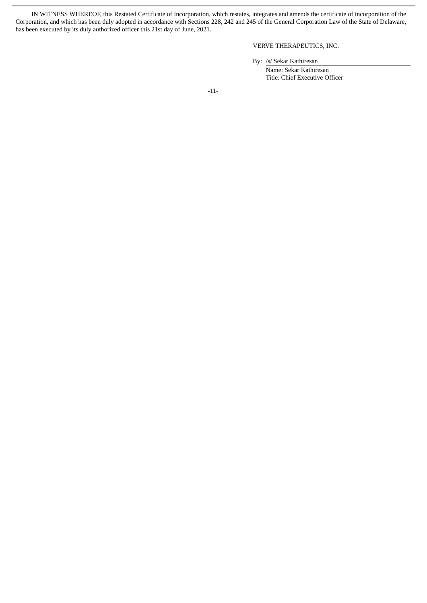IN WITNESS WHEREOF, this Restated Certificate of Incorporation, which restates, integrates and amends the certificate of incorporation of the Corporation, and which has been duly adopted in accordance with Sections 228, 242 and 245 of the General Corporation Law of the State of Delaware, has been executed by its duly authorized officer this 21st day of June, 2021.

## VERVE THERAPEUTICS, INC.

By: /s/ Sekar Kathiresan Name: Sekar Kathiresan Title: Chief Executive Officer

-11-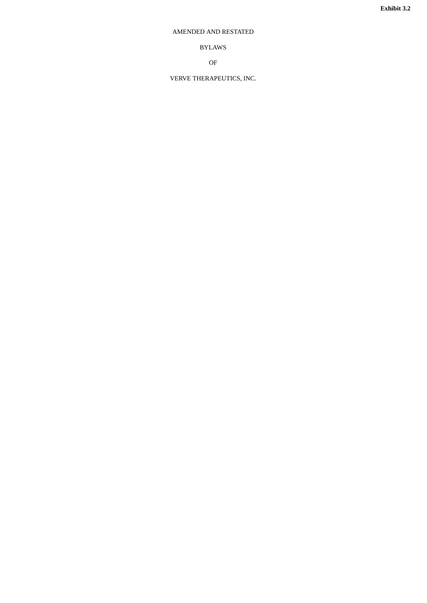## <span id="page-14-0"></span>AMENDED AND RESTATED

BYLAWS

OF

VERVE THERAPEUTICS, INC.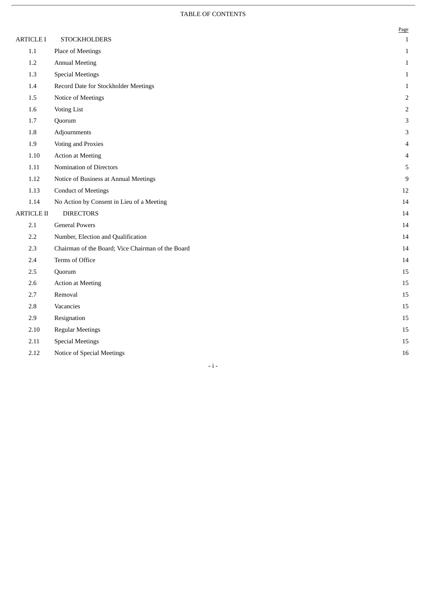# TABLE OF CONTENTS

|                   |                                                   | Page           |
|-------------------|---------------------------------------------------|----------------|
| <b>ARTICLE I</b>  | <b>STOCKHOLDERS</b>                               | $\mathbf{1}$   |
| $1.1\,$           | Place of Meetings                                 | $\,1\,$        |
| 1.2               | <b>Annual Meeting</b>                             | $\mathbf 1$    |
| 1.3               | <b>Special Meetings</b>                           | $\mathbf{1}$   |
| 1.4               | Record Date for Stockholder Meetings              | $\mathbf{1}$   |
| 1.5               | Notice of Meetings                                | $\overline{2}$ |
| 1.6               | <b>Voting List</b>                                | $\overline{2}$ |
| 1.7               | Quorum                                            | 3              |
| 1.8               | Adjournments                                      | 3              |
| 1.9               | Voting and Proxies                                | 4              |
| $1.10\,$          | <b>Action at Meeting</b>                          | $\overline{4}$ |
| $1.11\,$          | Nomination of Directors                           | 5              |
| 1.12              | Notice of Business at Annual Meetings             | 9              |
| 1.13              | <b>Conduct of Meetings</b>                        | 12             |
| 1.14              | No Action by Consent in Lieu of a Meeting         | 14             |
| <b>ARTICLE II</b> | <b>DIRECTORS</b>                                  | 14             |
| 2.1               | <b>General Powers</b>                             | 14             |
| 2.2               | Number, Election and Qualification                | 14             |
| 2.3               | Chairman of the Board; Vice Chairman of the Board | 14             |
| 2.4               | Terms of Office                                   | 14             |
| 2.5               | Quorum                                            | 15             |
| 2.6               | <b>Action at Meeting</b>                          | 15             |
| 2.7               | Removal                                           | 15             |
| 2.8               | Vacancies                                         | 15             |
| 2.9               | Resignation                                       | 15             |
| 2.10              | <b>Regular Meetings</b>                           | 15             |
| 2.11              | <b>Special Meetings</b>                           | 15             |
| 2.12              | Notice of Special Meetings                        | 16             |

- i -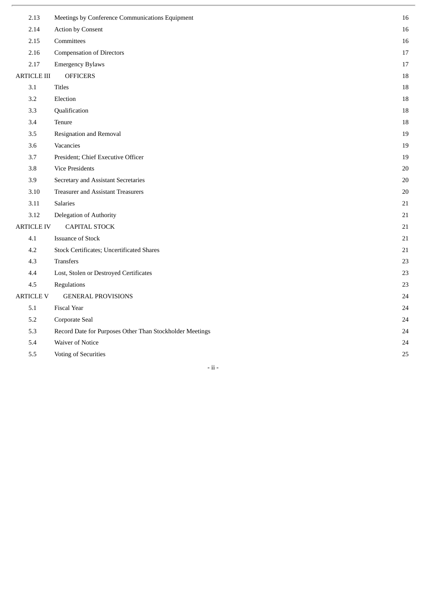| 2.13               | Meetings by Conference Communications Equipment          | 16     |
|--------------------|----------------------------------------------------------|--------|
| 2.14               | <b>Action by Consent</b>                                 | 16     |
| 2.15               | Committees                                               | 16     |
| 2.16               | <b>Compensation of Directors</b>                         | $17\,$ |
| 2.17               | <b>Emergency Bylaws</b>                                  | 17     |
| <b>ARTICLE III</b> | <b>OFFICERS</b>                                          | 18     |
| 3.1                | <b>Titles</b>                                            | 18     |
| 3.2                | Election                                                 | 18     |
| 3.3                | Qualification                                            | 18     |
| 3.4                | Tenure                                                   | 18     |
| 3.5                | Resignation and Removal                                  | 19     |
| 3.6                | Vacancies                                                | 19     |
| 3.7                | President; Chief Executive Officer                       | 19     |
| 3.8                | <b>Vice Presidents</b>                                   | $20\,$ |
| 3.9                | Secretary and Assistant Secretaries                      | 20     |
| 3.10               | <b>Treasurer and Assistant Treasurers</b>                | $20\,$ |
| 3.11               | Salaries                                                 | 21     |
| 3.12               | Delegation of Authority                                  | 21     |
| <b>ARTICLE IV</b>  | <b>CAPITAL STOCK</b>                                     | 21     |
| 4.1                | <b>Issuance of Stock</b>                                 | 21     |
| 4.2                | <b>Stock Certificates; Uncertificated Shares</b>         | 21     |
| 4.3                | <b>Transfers</b>                                         | 23     |
| 4.4                | Lost, Stolen or Destroyed Certificates                   | 23     |
| 4.5                | Regulations                                              | 23     |
| <b>ARTICLE V</b>   | <b>GENERAL PROVISIONS</b>                                | 24     |
| 5.1                | <b>Fiscal Year</b>                                       | 24     |
| 5.2                | Corporate Seal                                           | 24     |
| 5.3                | Record Date for Purposes Other Than Stockholder Meetings | 24     |
| 5.4                | Waiver of Notice                                         | 24     |
| 5.5                | Voting of Securities                                     | 25     |

# - ii -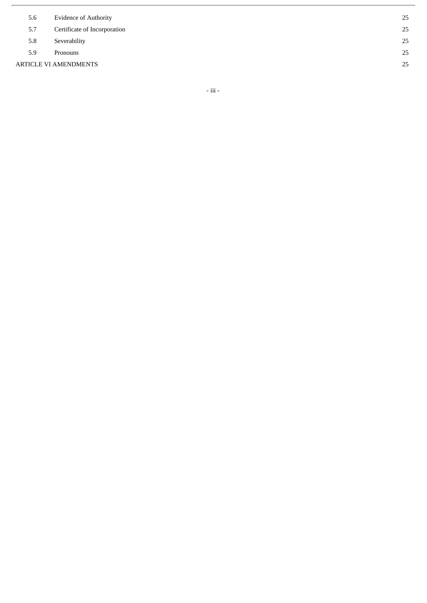| 5.6                   | <b>Evidence of Authority</b> | 25 |
|-----------------------|------------------------------|----|
| 5.7                   | Certificate of Incorporation | 25 |
| 5.8                   | Severability                 | 25 |
| 5.9                   | Pronouns                     | 25 |
| ARTICLE VI AMENDMENTS |                              | 25 |
|                       |                              |    |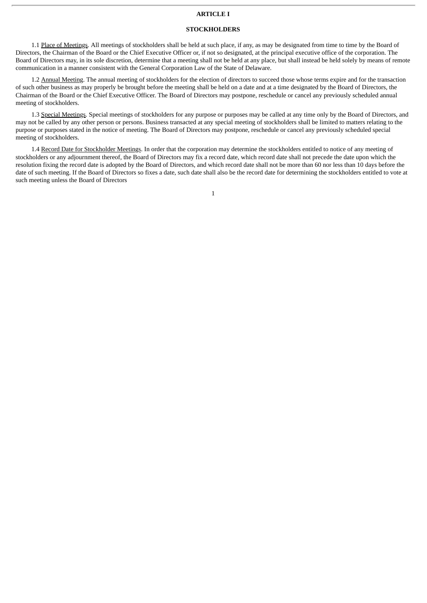#### **ARTICLE I**

#### **STOCKHOLDERS**

1.1 Place of Meetings. All meetings of stockholders shall be held at such place, if any, as may be designated from time to time by the Board of Directors, the Chairman of the Board or the Chief Executive Officer or, if not so designated, at the principal executive office of the corporation. The Board of Directors may, in its sole discretion, determine that a meeting shall not be held at any place, but shall instead be held solely by means of remote communication in a manner consistent with the General Corporation Law of the State of Delaware.

1.2 Annual Meeting. The annual meeting of stockholders for the election of directors to succeed those whose terms expire and for the transaction of such other business as may properly be brought before the meeting shall be held on a date and at a time designated by the Board of Directors, the Chairman of the Board or the Chief Executive Officer. The Board of Directors may postpone, reschedule or cancel any previously scheduled annual meeting of stockholders.

1.3 Special Meetings. Special meetings of stockholders for any purpose or purposes may be called at any time only by the Board of Directors, and may not be called by any other person or persons. Business transacted at any special meeting of stockholders shall be limited to matters relating to the purpose or purposes stated in the notice of meeting. The Board of Directors may postpone, reschedule or cancel any previously scheduled special meeting of stockholders.

1.4 Record Date for Stockholder Meetings. In order that the corporation may determine the stockholders entitled to notice of any meeting of stockholders or any adjournment thereof, the Board of Directors may fix a record date, which record date shall not precede the date upon which the resolution fixing the record date is adopted by the Board of Directors, and which record date shall not be more than 60 nor less than 10 days before the date of such meeting. If the Board of Directors so fixes a date, such date shall also be the record date for determining the stockholders entitled to vote at such meeting unless the Board of Directors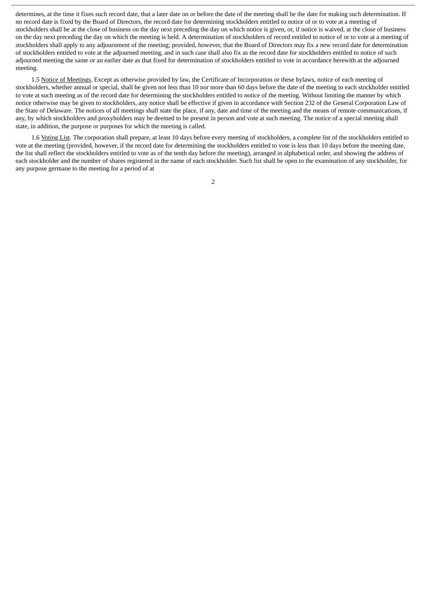determines, at the time it fixes such record date, that a later date on or before the date of the meeting shall be the date for making such determination. If no record date is fixed by the Board of Directors, the record date for determining stockholders entitled to notice of or to vote at a meeting of stockholders shall be at the close of business on the day next preceding the day on which notice is given, or, if notice is waived, at the close of business on the day next preceding the day on which the meeting is held. A determination of stockholders of record entitled to notice of or to vote at a meeting of stockholders shall apply to any adjournment of the meeting; provided, however, that the Board of Directors may fix a new record date for determination of stockholders entitled to vote at the adjourned meeting, and in such case shall also fix as the record date for stockholders entitled to notice of such adjourned meeting the same or an earlier date as that fixed for determination of stockholders entitled to vote in accordance herewith at the adjourned meeting.

1.5 Notice of Meetings. Except as otherwise provided by law, the Certificate of Incorporation or these bylaws, notice of each meeting of stockholders, whether annual or special, shall be given not less than 10 nor more than 60 days before the date of the meeting to each stockholder entitled to vote at such meeting as of the record date for determining the stockholders entitled to notice of the meeting. Without limiting the manner by which notice otherwise may be given to stockholders, any notice shall be effective if given in accordance with Section 232 of the General Corporation Law of the State of Delaware. The notices of all meetings shall state the place, if any, date and time of the meeting and the means of remote communications, if any, by which stockholders and proxyholders may be deemed to be present in person and vote at such meeting. The notice of a special meeting shall state, in addition, the purpose or purposes for which the meeting is called.

1.6 Voting List. The corporation shall prepare, at least 10 days before every meeting of stockholders, a complete list of the stockholders entitled to vote at the meeting (provided, however, if the record date for determining the stockholders entitled to vote is less than 10 days before the meeting date, the list shall reflect the stockholders entitled to vote as of the tenth day before the meeting), arranged in alphabetical order, and showing the address of each stockholder and the number of shares registered in the name of each stockholder. Such list shall be open to the examination of any stockholder, for any purpose germane to the meeting for a period of at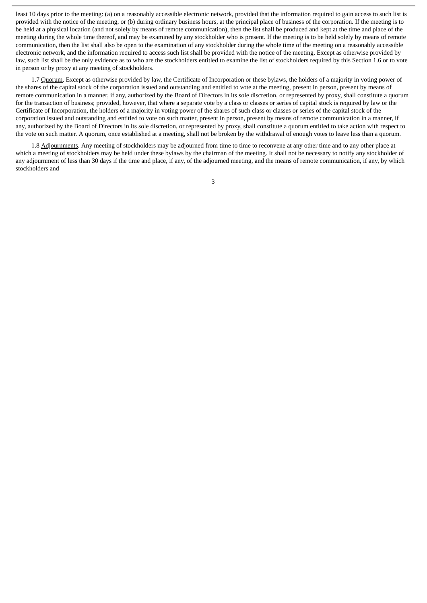least 10 days prior to the meeting: (a) on a reasonably accessible electronic network, provided that the information required to gain access to such list is provided with the notice of the meeting, or (b) during ordinary business hours, at the principal place of business of the corporation. If the meeting is to be held at a physical location (and not solely by means of remote communication), then the list shall be produced and kept at the time and place of the meeting during the whole time thereof, and may be examined by any stockholder who is present. If the meeting is to be held solely by means of remote communication, then the list shall also be open to the examination of any stockholder during the whole time of the meeting on a reasonably accessible electronic network, and the information required to access such list shall be provided with the notice of the meeting. Except as otherwise provided by law, such list shall be the only evidence as to who are the stockholders entitled to examine the list of stockholders required by this Section 1.6 or to vote in person or by proxy at any meeting of stockholders.

1.7 Quorum. Except as otherwise provided by law, the Certificate of Incorporation or these bylaws, the holders of a majority in voting power of the shares of the capital stock of the corporation issued and outstanding and entitled to vote at the meeting, present in person, present by means of remote communication in a manner, if any, authorized by the Board of Directors in its sole discretion, or represented by proxy, shall constitute a quorum for the transaction of business; provided, however, that where a separate vote by a class or classes or series of capital stock is required by law or the Certificate of Incorporation, the holders of a majority in voting power of the shares of such class or classes or series of the capital stock of the corporation issued and outstanding and entitled to vote on such matter, present in person, present by means of remote communication in a manner, if any, authorized by the Board of Directors in its sole discretion, or represented by proxy, shall constitute a quorum entitled to take action with respect to the vote on such matter. A quorum, once established at a meeting, shall not be broken by the withdrawal of enough votes to leave less than a quorum.

1.8 Adjournments. Any meeting of stockholders may be adjourned from time to time to reconvene at any other time and to any other place at which a meeting of stockholders may be held under these bylaws by the chairman of the meeting. It shall not be necessary to notify any stockholder of any adjournment of less than 30 days if the time and place, if any, of the adjourned meeting, and the means of remote communication, if any, by which stockholders and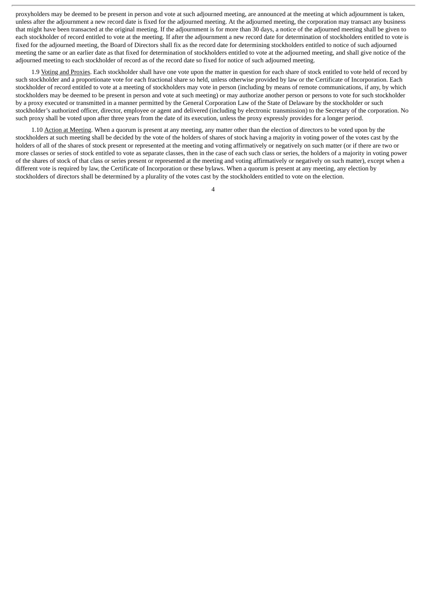proxyholders may be deemed to be present in person and vote at such adjourned meeting, are announced at the meeting at which adjournment is taken, unless after the adjournment a new record date is fixed for the adjourned meeting. At the adjourned meeting, the corporation may transact any business that might have been transacted at the original meeting. If the adjournment is for more than 30 days, a notice of the adjourned meeting shall be given to each stockholder of record entitled to vote at the meeting. If after the adjournment a new record date for determination of stockholders entitled to vote is fixed for the adjourned meeting, the Board of Directors shall fix as the record date for determining stockholders entitled to notice of such adjourned meeting the same or an earlier date as that fixed for determination of stockholders entitled to vote at the adjourned meeting, and shall give notice of the adjourned meeting to each stockholder of record as of the record date so fixed for notice of such adjourned meeting.

1.9 Voting and Proxies. Each stockholder shall have one vote upon the matter in question for each share of stock entitled to vote held of record by such stockholder and a proportionate vote for each fractional share so held, unless otherwise provided by law or the Certificate of Incorporation. Each stockholder of record entitled to vote at a meeting of stockholders may vote in person (including by means of remote communications, if any, by which stockholders may be deemed to be present in person and vote at such meeting) or may authorize another person or persons to vote for such stockholder by a proxy executed or transmitted in a manner permitted by the General Corporation Law of the State of Delaware by the stockholder or such stockholder's authorized officer, director, employee or agent and delivered (including by electronic transmission) to the Secretary of the corporation. No such proxy shall be voted upon after three years from the date of its execution, unless the proxy expressly provides for a longer period.

1.10 Action at Meeting. When a quorum is present at any meeting, any matter other than the election of directors to be voted upon by the stockholders at such meeting shall be decided by the vote of the holders of shares of stock having a majority in voting power of the votes cast by the holders of all of the shares of stock present or represented at the meeting and voting affirmatively or negatively on such matter (or if there are two or more classes or series of stock entitled to vote as separate classes, then in the case of each such class or series, the holders of a majority in voting power of the shares of stock of that class or series present or represented at the meeting and voting affirmatively or negatively on such matter), except when a different vote is required by law, the Certificate of Incorporation or these bylaws. When a quorum is present at any meeting, any election by stockholders of directors shall be determined by a plurality of the votes cast by the stockholders entitled to vote on the election.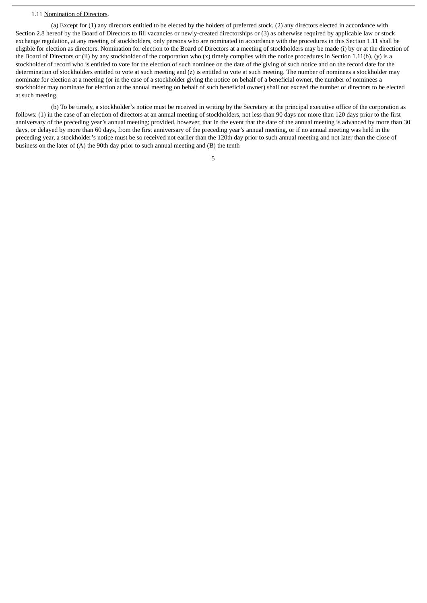#### 1.11 Nomination of Directors.

(a) Except for (1) any directors entitled to be elected by the holders of preferred stock, (2) any directors elected in accordance with Section 2.8 hereof by the Board of Directors to fill vacancies or newly-created directorships or (3) as otherwise required by applicable law or stock exchange regulation, at any meeting of stockholders, only persons who are nominated in accordance with the procedures in this Section 1.11 shall be eligible for election as directors. Nomination for election to the Board of Directors at a meeting of stockholders may be made (i) by or at the direction of the Board of Directors or (ii) by any stockholder of the corporation who (x) timely complies with the notice procedures in Section 1.11(b), (y) is a stockholder of record who is entitled to vote for the election of such nominee on the date of the giving of such notice and on the record date for the determination of stockholders entitled to vote at such meeting and (z) is entitled to vote at such meeting. The number of nominees a stockholder may nominate for election at a meeting (or in the case of a stockholder giving the notice on behalf of a beneficial owner, the number of nominees a stockholder may nominate for election at the annual meeting on behalf of such beneficial owner) shall not exceed the number of directors to be elected at such meeting.

(b) To be timely, a stockholder's notice must be received in writing by the Secretary at the principal executive office of the corporation as follows: (1) in the case of an election of directors at an annual meeting of stockholders, not less than 90 days nor more than 120 days prior to the first anniversary of the preceding year's annual meeting; provided, however, that in the event that the date of the annual meeting is advanced by more than 30 days, or delayed by more than 60 days, from the first anniversary of the preceding year's annual meeting, or if no annual meeting was held in the preceding year, a stockholder's notice must be so received not earlier than the 120th day prior to such annual meeting and not later than the close of business on the later of (A) the 90th day prior to such annual meeting and (B) the tenth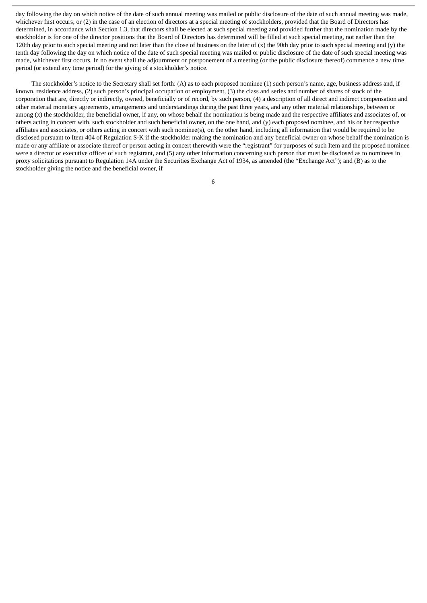day following the day on which notice of the date of such annual meeting was mailed or public disclosure of the date of such annual meeting was made, whichever first occurs; or (2) in the case of an election of directors at a special meeting of stockholders, provided that the Board of Directors has determined, in accordance with Section 1.3, that directors shall be elected at such special meeting and provided further that the nomination made by the stockholder is for one of the director positions that the Board of Directors has determined will be filled at such special meeting, not earlier than the 120th day prior to such special meeting and not later than the close of business on the later of  $(x)$  the 90th day prior to such special meeting and  $(y)$  the tenth day following the day on which notice of the date of such special meeting was mailed or public disclosure of the date of such special meeting was made, whichever first occurs. In no event shall the adjournment or postponement of a meeting (or the public disclosure thereof) commence a new time period (or extend any time period) for the giving of a stockholder's notice.

The stockholder's notice to the Secretary shall set forth: (A) as to each proposed nominee (1) such person's name, age, business address and, if known, residence address, (2) such person's principal occupation or employment, (3) the class and series and number of shares of stock of the corporation that are, directly or indirectly, owned, beneficially or of record, by such person, (4) a description of all direct and indirect compensation and other material monetary agreements, arrangements and understandings during the past three years, and any other material relationships, between or among (x) the stockholder, the beneficial owner, if any, on whose behalf the nomination is being made and the respective affiliates and associates of, or others acting in concert with, such stockholder and such beneficial owner, on the one hand, and (y) each proposed nominee, and his or her respective affiliates and associates, or others acting in concert with such nominee(s), on the other hand, including all information that would be required to be disclosed pursuant to Item 404 of Regulation S-K if the stockholder making the nomination and any beneficial owner on whose behalf the nomination is made or any affiliate or associate thereof or person acting in concert therewith were the "registrant" for purposes of such Item and the proposed nominee were a director or executive officer of such registrant, and (5) any other information concerning such person that must be disclosed as to nominees in proxy solicitations pursuant to Regulation 14A under the Securities Exchange Act of 1934, as amended (the "Exchange Act"); and (B) as to the stockholder giving the notice and the beneficial owner, if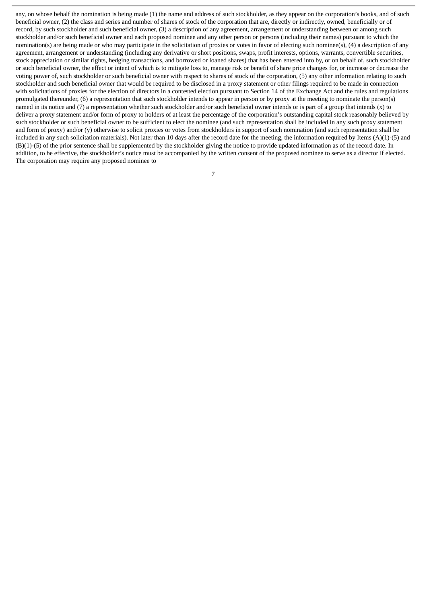any, on whose behalf the nomination is being made (1) the name and address of such stockholder, as they appear on the corporation's books, and of such beneficial owner, (2) the class and series and number of shares of stock of the corporation that are, directly or indirectly, owned, beneficially or of record, by such stockholder and such beneficial owner, (3) a description of any agreement, arrangement or understanding between or among such stockholder and/or such beneficial owner and each proposed nominee and any other person or persons (including their names) pursuant to which the nomination(s) are being made or who may participate in the solicitation of proxies or votes in favor of electing such nominee(s), (4) a description of any agreement, arrangement or understanding (including any derivative or short positions, swaps, profit interests, options, warrants, convertible securities, stock appreciation or similar rights, hedging transactions, and borrowed or loaned shares) that has been entered into by, or on behalf of, such stockholder or such beneficial owner, the effect or intent of which is to mitigate loss to, manage risk or benefit of share price changes for, or increase or decrease the voting power of, such stockholder or such beneficial owner with respect to shares of stock of the corporation, (5) any other information relating to such stockholder and such beneficial owner that would be required to be disclosed in a proxy statement or other filings required to be made in connection with solicitations of proxies for the election of directors in a contested election pursuant to Section 14 of the Exchange Act and the rules and regulations promulgated thereunder, (6) a representation that such stockholder intends to appear in person or by proxy at the meeting to nominate the person(s) named in its notice and (7) a representation whether such stockholder and/or such beneficial owner intends or is part of a group that intends (x) to deliver a proxy statement and/or form of proxy to holders of at least the percentage of the corporation's outstanding capital stock reasonably believed by such stockholder or such beneficial owner to be sufficient to elect the nominee (and such representation shall be included in any such proxy statement and form of proxy) and/or (y) otherwise to solicit proxies or votes from stockholders in support of such nomination (and such representation shall be included in any such solicitation materials). Not later than 10 days after the record date for the meeting, the information required by Items (A)(1)-(5) and (B)(1)-(5) of the prior sentence shall be supplemented by the stockholder giving the notice to provide updated information as of the record date. In addition, to be effective, the stockholder's notice must be accompanied by the written consent of the proposed nominee to serve as a director if elected. The corporation may require any proposed nominee to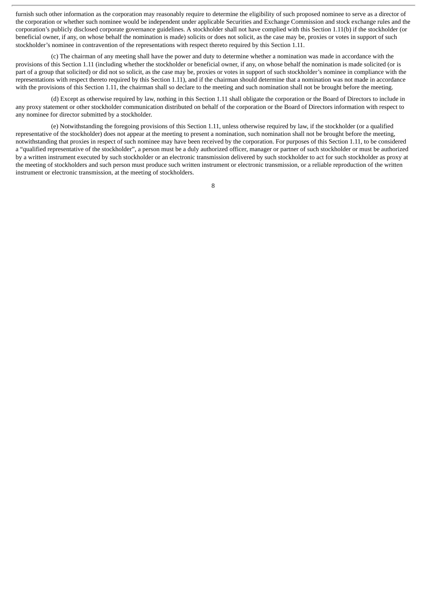furnish such other information as the corporation may reasonably require to determine the eligibility of such proposed nominee to serve as a director of the corporation or whether such nominee would be independent under applicable Securities and Exchange Commission and stock exchange rules and the corporation's publicly disclosed corporate governance guidelines. A stockholder shall not have complied with this Section 1.11(b) if the stockholder (or beneficial owner, if any, on whose behalf the nomination is made) solicits or does not solicit, as the case may be, proxies or votes in support of such stockholder's nominee in contravention of the representations with respect thereto required by this Section 1.11.

(c) The chairman of any meeting shall have the power and duty to determine whether a nomination was made in accordance with the provisions of this Section 1.11 (including whether the stockholder or beneficial owner, if any, on whose behalf the nomination is made solicited (or is part of a group that solicited) or did not so solicit, as the case may be, proxies or votes in support of such stockholder's nominee in compliance with the representations with respect thereto required by this Section 1.11), and if the chairman should determine that a nomination was not made in accordance with the provisions of this Section 1.11, the chairman shall so declare to the meeting and such nomination shall not be brought before the meeting.

(d) Except as otherwise required by law, nothing in this Section 1.11 shall obligate the corporation or the Board of Directors to include in any proxy statement or other stockholder communication distributed on behalf of the corporation or the Board of Directors information with respect to any nominee for director submitted by a stockholder.

(e) Notwithstanding the foregoing provisions of this Section 1.11, unless otherwise required by law, if the stockholder (or a qualified representative of the stockholder) does not appear at the meeting to present a nomination, such nomination shall not be brought before the meeting, notwithstanding that proxies in respect of such nominee may have been received by the corporation. For purposes of this Section 1.11, to be considered a "qualified representative of the stockholder", a person must be a duly authorized officer, manager or partner of such stockholder or must be authorized by a written instrument executed by such stockholder or an electronic transmission delivered by such stockholder to act for such stockholder as proxy at the meeting of stockholders and such person must produce such written instrument or electronic transmission, or a reliable reproduction of the written instrument or electronic transmission, at the meeting of stockholders.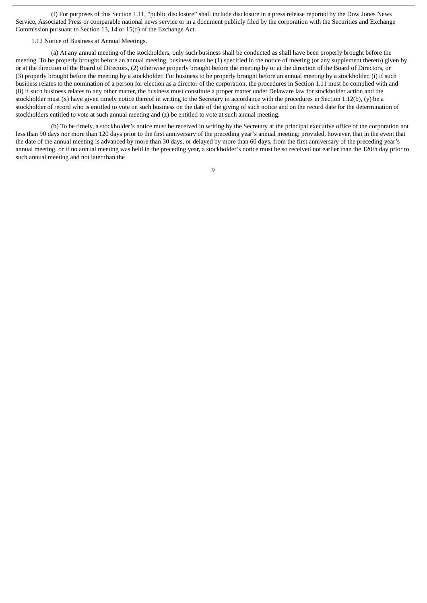(f) For purposes of this Section 1.11, "public disclosure" shall include disclosure in a press release reported by the Dow Jones News Service, Associated Press or comparable national news service or in a document publicly filed by the corporation with the Securities and Exchange Commission pursuant to Section 13, 14 or 15(d) of the Exchange Act.

#### 1.12 Notice of Business at Annual Meetings.

(a) At any annual meeting of the stockholders, only such business shall be conducted as shall have been properly brought before the meeting. To be properly brought before an annual meeting, business must be (1) specified in the notice of meeting (or any supplement thereto) given by or at the direction of the Board of Directors, (2) otherwise properly brought before the meeting by or at the direction of the Board of Directors, or (3) properly brought before the meeting by a stockholder. For business to be properly brought before an annual meeting by a stockholder, (i) if such business relates to the nomination of a person for election as a director of the corporation, the procedures in Section 1.11 must be complied with and (ii) if such business relates to any other matter, the business must constitute a proper matter under Delaware law for stockholder action and the stockholder must (x) have given timely notice thereof in writing to the Secretary in accordance with the procedures in Section 1.12(b), (y) be a stockholder of record who is entitled to vote on such business on the date of the giving of such notice and on the record date for the determination of stockholders entitled to vote at such annual meeting and (z) be entitled to vote at such annual meeting.

(b) To be timely, a stockholder's notice must be received in writing by the Secretary at the principal executive office of the corporation not less than 90 days nor more than 120 days prior to the first anniversary of the preceding year's annual meeting; provided, however, that in the event that the date of the annual meeting is advanced by more than 30 days, or delayed by more than 60 days, from the first anniversary of the preceding year's annual meeting, or if no annual meeting was held in the preceding year, a stockholder's notice must be so received not earlier than the 120th day prior to such annual meeting and not later than the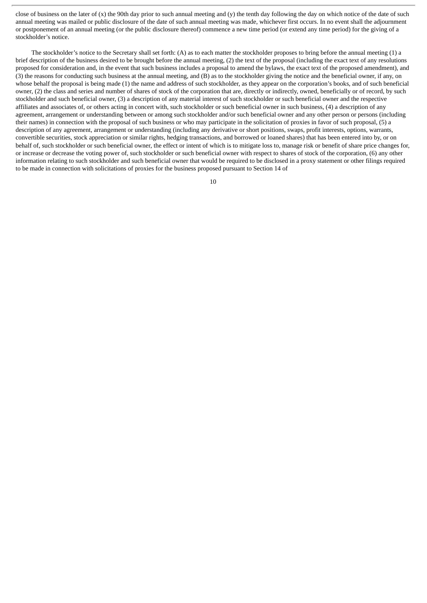close of business on the later of (x) the 90th day prior to such annual meeting and (y) the tenth day following the day on which notice of the date of such annual meeting was mailed or public disclosure of the date of such annual meeting was made, whichever first occurs. In no event shall the adjournment or postponement of an annual meeting (or the public disclosure thereof) commence a new time period (or extend any time period) for the giving of a stockholder's notice.

The stockholder's notice to the Secretary shall set forth: (A) as to each matter the stockholder proposes to bring before the annual meeting (1) a brief description of the business desired to be brought before the annual meeting, (2) the text of the proposal (including the exact text of any resolutions proposed for consideration and, in the event that such business includes a proposal to amend the bylaws, the exact text of the proposed amendment), and (3) the reasons for conducting such business at the annual meeting, and (B) as to the stockholder giving the notice and the beneficial owner, if any, on whose behalf the proposal is being made (1) the name and address of such stockholder, as they appear on the corporation's books, and of such beneficial owner, (2) the class and series and number of shares of stock of the corporation that are, directly or indirectly, owned, beneficially or of record, by such stockholder and such beneficial owner, (3) a description of any material interest of such stockholder or such beneficial owner and the respective affiliates and associates of, or others acting in concert with, such stockholder or such beneficial owner in such business, (4) a description of any agreement, arrangement or understanding between or among such stockholder and/or such beneficial owner and any other person or persons (including their names) in connection with the proposal of such business or who may participate in the solicitation of proxies in favor of such proposal, (5) a description of any agreement, arrangement or understanding (including any derivative or short positions, swaps, profit interests, options, warrants, convertible securities, stock appreciation or similar rights, hedging transactions, and borrowed or loaned shares) that has been entered into by, or on behalf of, such stockholder or such beneficial owner, the effect or intent of which is to mitigate loss to, manage risk or benefit of share price changes for, or increase or decrease the voting power of, such stockholder or such beneficial owner with respect to shares of stock of the corporation, (6) any other information relating to such stockholder and such beneficial owner that would be required to be disclosed in a proxy statement or other filings required to be made in connection with solicitations of proxies for the business proposed pursuant to Section 14 of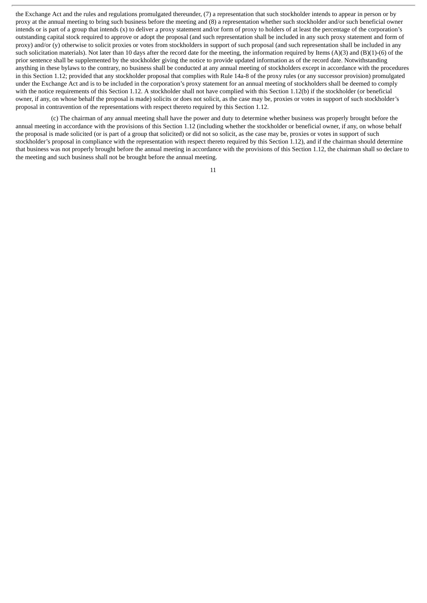the Exchange Act and the rules and regulations promulgated thereunder, (7) a representation that such stockholder intends to appear in person or by proxy at the annual meeting to bring such business before the meeting and (8) a representation whether such stockholder and/or such beneficial owner intends or is part of a group that intends (x) to deliver a proxy statement and/or form of proxy to holders of at least the percentage of the corporation's outstanding capital stock required to approve or adopt the proposal (and such representation shall be included in any such proxy statement and form of proxy) and/or (y) otherwise to solicit proxies or votes from stockholders in support of such proposal (and such representation shall be included in any such solicitation materials). Not later than 10 days after the record date for the meeting, the information required by Items (A)(3) and (B)(1)-(6) of the prior sentence shall be supplemented by the stockholder giving the notice to provide updated information as of the record date. Notwithstanding anything in these bylaws to the contrary, no business shall be conducted at any annual meeting of stockholders except in accordance with the procedures in this Section 1.12; provided that any stockholder proposal that complies with Rule 14a-8 of the proxy rules (or any successor provision) promulgated under the Exchange Act and is to be included in the corporation's proxy statement for an annual meeting of stockholders shall be deemed to comply with the notice requirements of this Section 1.12. A stockholder shall not have complied with this Section 1.12(b) if the stockholder (or beneficial owner, if any, on whose behalf the proposal is made) solicits or does not solicit, as the case may be, proxies or votes in support of such stockholder's proposal in contravention of the representations with respect thereto required by this Section 1.12.

(c) The chairman of any annual meeting shall have the power and duty to determine whether business was properly brought before the annual meeting in accordance with the provisions of this Section 1.12 (including whether the stockholder or beneficial owner, if any, on whose behalf the proposal is made solicited (or is part of a group that solicited) or did not so solicit, as the case may be, proxies or votes in support of such stockholder's proposal in compliance with the representation with respect thereto required by this Section 1.12), and if the chairman should determine that business was not properly brought before the annual meeting in accordance with the provisions of this Section 1.12, the chairman shall so declare to the meeting and such business shall not be brought before the annual meeting.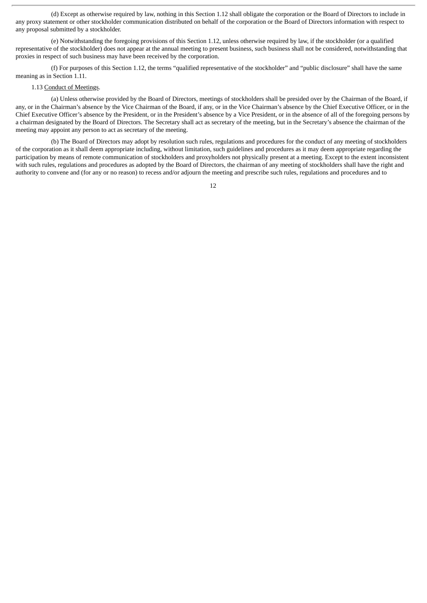(d) Except as otherwise required by law, nothing in this Section 1.12 shall obligate the corporation or the Board of Directors to include in any proxy statement or other stockholder communication distributed on behalf of the corporation or the Board of Directors information with respect to any proposal submitted by a stockholder.

(e) Notwithstanding the foregoing provisions of this Section 1.12, unless otherwise required by law, if the stockholder (or a qualified representative of the stockholder) does not appear at the annual meeting to present business, such business shall not be considered, notwithstanding that proxies in respect of such business may have been received by the corporation.

(f) For purposes of this Section 1.12, the terms "qualified representative of the stockholder" and "public disclosure" shall have the same meaning as in Section 1.11.

#### 1.13 Conduct of Meetings.

(a) Unless otherwise provided by the Board of Directors, meetings of stockholders shall be presided over by the Chairman of the Board, if any, or in the Chairman's absence by the Vice Chairman of the Board, if any, or in the Vice Chairman's absence by the Chief Executive Officer, or in the Chief Executive Officer's absence by the President, or in the President's absence by a Vice President, or in the absence of all of the foregoing persons by a chairman designated by the Board of Directors. The Secretary shall act as secretary of the meeting, but in the Secretary's absence the chairman of the meeting may appoint any person to act as secretary of the meeting.

(b) The Board of Directors may adopt by resolution such rules, regulations and procedures for the conduct of any meeting of stockholders of the corporation as it shall deem appropriate including, without limitation, such guidelines and procedures as it may deem appropriate regarding the participation by means of remote communication of stockholders and proxyholders not physically present at a meeting. Except to the extent inconsistent with such rules, regulations and procedures as adopted by the Board of Directors, the chairman of any meeting of stockholders shall have the right and authority to convene and (for any or no reason) to recess and/or adjourn the meeting and prescribe such rules, regulations and procedures and to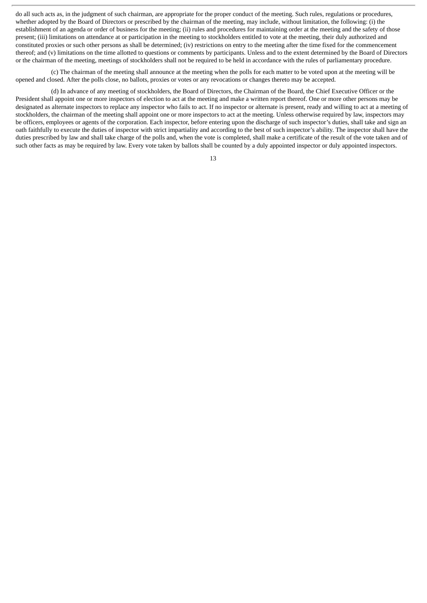do all such acts as, in the judgment of such chairman, are appropriate for the proper conduct of the meeting. Such rules, regulations or procedures, whether adopted by the Board of Directors or prescribed by the chairman of the meeting, may include, without limitation, the following: (i) the establishment of an agenda or order of business for the meeting; (ii) rules and procedures for maintaining order at the meeting and the safety of those present; (iii) limitations on attendance at or participation in the meeting to stockholders entitled to vote at the meeting, their duly authorized and constituted proxies or such other persons as shall be determined; (iv) restrictions on entry to the meeting after the time fixed for the commencement thereof; and (v) limitations on the time allotted to questions or comments by participants. Unless and to the extent determined by the Board of Directors or the chairman of the meeting, meetings of stockholders shall not be required to be held in accordance with the rules of parliamentary procedure.

(c) The chairman of the meeting shall announce at the meeting when the polls for each matter to be voted upon at the meeting will be opened and closed. After the polls close, no ballots, proxies or votes or any revocations or changes thereto may be accepted.

(d) In advance of any meeting of stockholders, the Board of Directors, the Chairman of the Board, the Chief Executive Officer or the President shall appoint one or more inspectors of election to act at the meeting and make a written report thereof. One or more other persons may be designated as alternate inspectors to replace any inspector who fails to act. If no inspector or alternate is present, ready and willing to act at a meeting of stockholders, the chairman of the meeting shall appoint one or more inspectors to act at the meeting. Unless otherwise required by law, inspectors may be officers, employees or agents of the corporation. Each inspector, before entering upon the discharge of such inspector's duties, shall take and sign an oath faithfully to execute the duties of inspector with strict impartiality and according to the best of such inspector's ability. The inspector shall have the duties prescribed by law and shall take charge of the polls and, when the vote is completed, shall make a certificate of the result of the vote taken and of such other facts as may be required by law. Every vote taken by ballots shall be counted by a duly appointed inspector or duly appointed inspectors.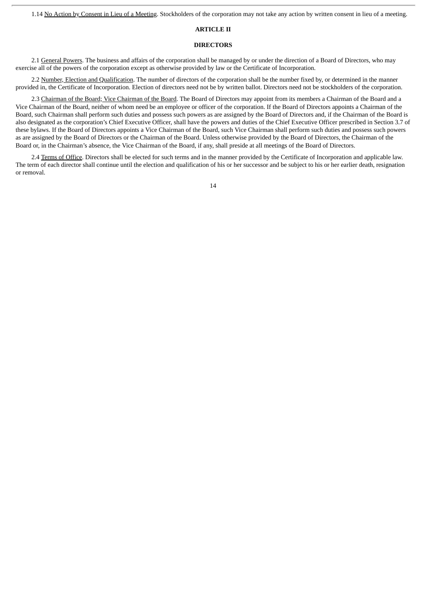1.14 No Action by Consent in Lieu of a Meeting. Stockholders of the corporation may not take any action by written consent in lieu of a meeting.

#### **ARTICLE II**

#### **DIRECTORS**

2.1 General Powers. The business and affairs of the corporation shall be managed by or under the direction of a Board of Directors, who may exercise all of the powers of the corporation except as otherwise provided by law or the Certificate of Incorporation.

2.2 Number, Election and Qualification. The number of directors of the corporation shall be the number fixed by, or determined in the manner provided in, the Certificate of Incorporation. Election of directors need not be by written ballot. Directors need not be stockholders of the corporation.

2.3 Chairman of the Board; Vice Chairman of the Board. The Board of Directors may appoint from its members a Chairman of the Board and a Vice Chairman of the Board, neither of whom need be an employee or officer of the corporation. If the Board of Directors appoints a Chairman of the Board, such Chairman shall perform such duties and possess such powers as are assigned by the Board of Directors and, if the Chairman of the Board is also designated as the corporation's Chief Executive Officer, shall have the powers and duties of the Chief Executive Officer prescribed in Section 3.7 of these bylaws. If the Board of Directors appoints a Vice Chairman of the Board, such Vice Chairman shall perform such duties and possess such powers as are assigned by the Board of Directors or the Chairman of the Board. Unless otherwise provided by the Board of Directors, the Chairman of the Board or, in the Chairman's absence, the Vice Chairman of the Board, if any, shall preside at all meetings of the Board of Directors.

2.4 Terms of Office. Directors shall be elected for such terms and in the manner provided by the Certificate of Incorporation and applicable law. The term of each director shall continue until the election and qualification of his or her successor and be subject to his or her earlier death, resignation or removal.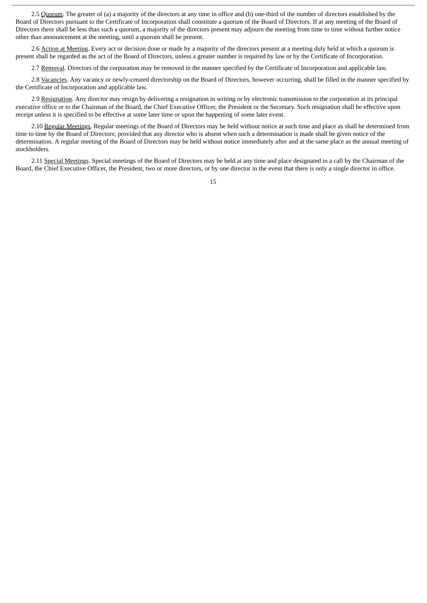2.5 Quorum. The greater of (a) a majority of the directors at any time in office and (b) one-third of the number of directors established by the Board of Directors pursuant to the Certificate of Incorporation shall constitute a quorum of the Board of Directors. If at any meeting of the Board of Directors there shall be less than such a quorum, a majority of the directors present may adjourn the meeting from time to time without further notice other than announcement at the meeting, until a quorum shall be present.

2.6 Action at Meeting. Every act or decision done or made by a majority of the directors present at a meeting duly held at which a quorum is present shall be regarded as the act of the Board of Directors, unless a greater number is required by law or by the Certificate of Incorporation.

2.7 Removal. Directors of the corporation may be removed in the manner specified by the Certificate of Incorporation and applicable law.

2.8 Vacancies. Any vacancy or newly-created directorship on the Board of Directors, however occurring, shall be filled in the manner specified by the Certificate of Incorporation and applicable law.

2.9 Resignation. Any director may resign by delivering a resignation in writing or by electronic transmission to the corporation at its principal executive office or to the Chairman of the Board, the Chief Executive Officer, the President or the Secretary. Such resignation shall be effective upon receipt unless it is specified to be effective at some later time or upon the happening of some later event.

2.10 Regular Meetings. Regular meetings of the Board of Directors may be held without notice at such time and place as shall be determined from time to time by the Board of Directors; provided that any director who is absent when such a determination is made shall be given notice of the determination. A regular meeting of the Board of Directors may be held without notice immediately after and at the same place as the annual meeting of stockholders.

2.11 Special Meetings. Special meetings of the Board of Directors may be held at any time and place designated in a call by the Chairman of the Board, the Chief Executive Officer, the President, two or more directors, or by one director in the event that there is only a single director in office.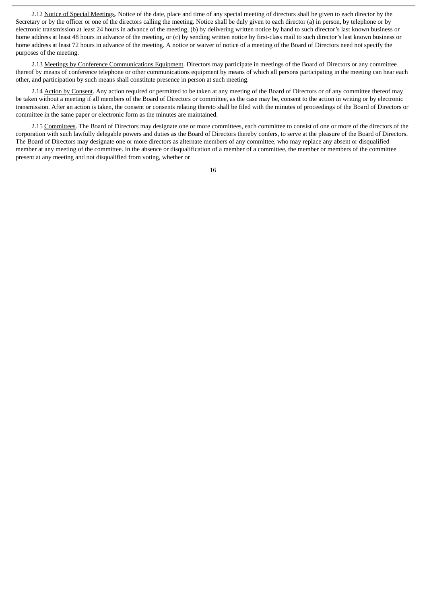2.12 Notice of Special Meetings. Notice of the date, place and time of any special meeting of directors shall be given to each director by the Secretary or by the officer or one of the directors calling the meeting. Notice shall be duly given to each director (a) in person, by telephone or by electronic transmission at least 24 hours in advance of the meeting, (b) by delivering written notice by hand to such director's last known business or home address at least 48 hours in advance of the meeting, or (c) by sending written notice by first-class mail to such director's last known business or home address at least 72 hours in advance of the meeting. A notice or waiver of notice of a meeting of the Board of Directors need not specify the purposes of the meeting.

2.13 Meetings by Conference Communications Equipment. Directors may participate in meetings of the Board of Directors or any committee thereof by means of conference telephone or other communications equipment by means of which all persons participating in the meeting can hear each other, and participation by such means shall constitute presence in person at such meeting.

2.14 Action by Consent. Any action required or permitted to be taken at any meeting of the Board of Directors or of any committee thereof may be taken without a meeting if all members of the Board of Directors or committee, as the case may be, consent to the action in writing or by electronic transmission. After an action is taken, the consent or consents relating thereto shall be filed with the minutes of proceedings of the Board of Directors or committee in the same paper or electronic form as the minutes are maintained.

2.15 Committees. The Board of Directors may designate one or more committees, each committee to consist of one or more of the directors of the corporation with such lawfully delegable powers and duties as the Board of Directors thereby confers, to serve at the pleasure of the Board of Directors. The Board of Directors may designate one or more directors as alternate members of any committee, who may replace any absent or disqualified member at any meeting of the committee. In the absence or disqualification of a member of a committee, the member or members of the committee present at any meeting and not disqualified from voting, whether or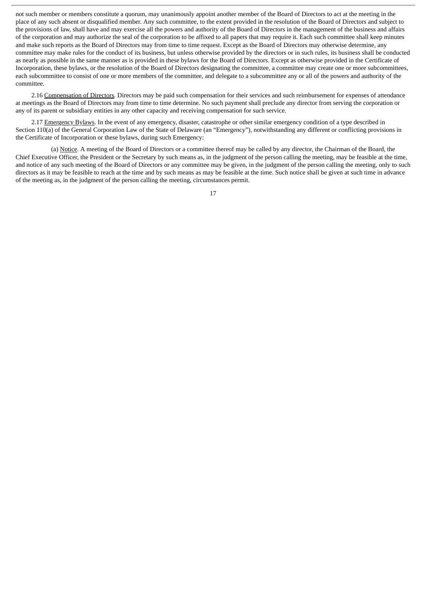not such member or members constitute a quorum, may unanimously appoint another member of the Board of Directors to act at the meeting in the place of any such absent or disqualified member. Any such committee, to the extent provided in the resolution of the Board of Directors and subject to the provisions of law, shall have and may exercise all the powers and authority of the Board of Directors in the management of the business and affairs of the corporation and may authorize the seal of the corporation to be affixed to all papers that may require it. Each such committee shall keep minutes and make such reports as the Board of Directors may from time to time request. Except as the Board of Directors may otherwise determine, any committee may make rules for the conduct of its business, but unless otherwise provided by the directors or in such rules, its business shall be conducted as nearly as possible in the same manner as is provided in these bylaws for the Board of Directors. Except as otherwise provided in the Certificate of Incorporation, these bylaws, or the resolution of the Board of Directors designating the committee, a committee may create one or more subcommittees, each subcommittee to consist of one or more members of the committee, and delegate to a subcommittee any or all of the powers and authority of the committee.

2.16 Compensation of Directors. Directors may be paid such compensation for their services and such reimbursement for expenses of attendance at meetings as the Board of Directors may from time to time determine. No such payment shall preclude any director from serving the corporation or any of its parent or subsidiary entities in any other capacity and receiving compensation for such service.

2.17 Emergency Bylaws. In the event of any emergency, disaster, catastrophe or other similar emergency condition of a type described in Section 110(a) of the General Corporation Law of the State of Delaware (an "Emergency"), notwithstanding any different or conflicting provisions in the Certificate of Incorporation or these bylaws, during such Emergency:

(a) Notice. A meeting of the Board of Directors or a committee thereof may be called by any director, the Chairman of the Board, the Chief Executive Officer, the President or the Secretary by such means as, in the judgment of the person calling the meeting, may be feasible at the time, and notice of any such meeting of the Board of Directors or any committee may be given, in the judgment of the person calling the meeting, only to such directors as it may be feasible to reach at the time and by such means as may be feasible at the time. Such notice shall be given at such time in advance of the meeting as, in the judgment of the person calling the meeting, circumstances permit.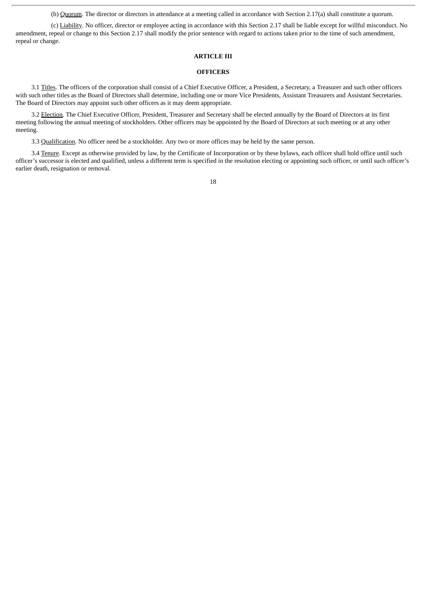(b) Quorum. The director or directors in attendance at a meeting called in accordance with Section 2.17(a) shall constitute a quorum.

(c) Liability. No officer, director or employee acting in accordance with this Section 2.17 shall be liable except for willful misconduct. No amendment, repeal or change to this Section 2.17 shall modify the prior sentence with regard to actions taken prior to the time of such amendment, repeal or change.

#### **ARTICLE III**

#### **OFFICERS**

3.1 Titles. The officers of the corporation shall consist of a Chief Executive Officer, a President, a Secretary, a Treasurer and such other officers with such other titles as the Board of Directors shall determine, including one or more Vice Presidents, Assistant Treasurers and Assistant Secretaries. The Board of Directors may appoint such other officers as it may deem appropriate.

3.2 Election. The Chief Executive Officer, President, Treasurer and Secretary shall be elected annually by the Board of Directors at its first meeting following the annual meeting of stockholders. Other officers may be appointed by the Board of Directors at such meeting or at any other meeting.

3.3 Qualification. No officer need be a stockholder. Any two or more offices may be held by the same person.

3.4 Tenure. Except as otherwise provided by law, by the Certificate of Incorporation or by these bylaws, each officer shall hold office until such officer's successor is elected and qualified, unless a different term is specified in the resolution electing or appointing such officer, or until such officer's earlier death, resignation or removal.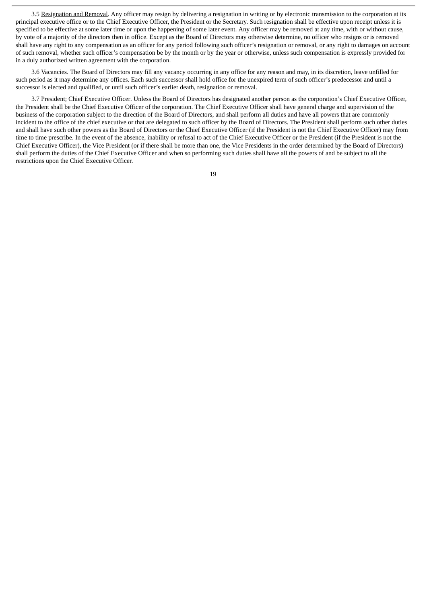3.5 Resignation and Removal. Any officer may resign by delivering a resignation in writing or by electronic transmission to the corporation at its principal executive office or to the Chief Executive Officer, the President or the Secretary. Such resignation shall be effective upon receipt unless it is specified to be effective at some later time or upon the happening of some later event. Any officer may be removed at any time, with or without cause, by vote of a majority of the directors then in office. Except as the Board of Directors may otherwise determine, no officer who resigns or is removed shall have any right to any compensation as an officer for any period following such officer's resignation or removal, or any right to damages on account of such removal, whether such officer's compensation be by the month or by the year or otherwise, unless such compensation is expressly provided for in a duly authorized written agreement with the corporation.

3.6 Vacancies. The Board of Directors may fill any vacancy occurring in any office for any reason and may, in its discretion, leave unfilled for such period as it may determine any offices. Each such successor shall hold office for the unexpired term of such officer's predecessor and until a successor is elected and qualified, or until such officer's earlier death, resignation or removal.

3.7 President; Chief Executive Officer. Unless the Board of Directors has designated another person as the corporation's Chief Executive Officer, the President shall be the Chief Executive Officer of the corporation. The Chief Executive Officer shall have general charge and supervision of the business of the corporation subject to the direction of the Board of Directors, and shall perform all duties and have all powers that are commonly incident to the office of the chief executive or that are delegated to such officer by the Board of Directors. The President shall perform such other duties and shall have such other powers as the Board of Directors or the Chief Executive Officer (if the President is not the Chief Executive Officer) may from time to time prescribe. In the event of the absence, inability or refusal to act of the Chief Executive Officer or the President (if the President is not the Chief Executive Officer), the Vice President (or if there shall be more than one, the Vice Presidents in the order determined by the Board of Directors) shall perform the duties of the Chief Executive Officer and when so performing such duties shall have all the powers of and be subject to all the restrictions upon the Chief Executive Officer.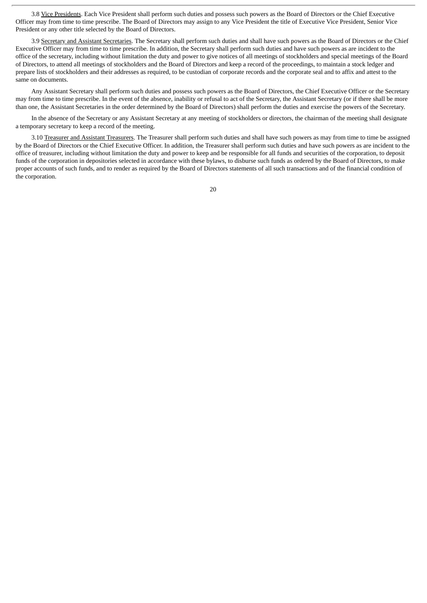3.8 Vice Presidents. Each Vice President shall perform such duties and possess such powers as the Board of Directors or the Chief Executive Officer may from time to time prescribe. The Board of Directors may assign to any Vice President the title of Executive Vice President, Senior Vice President or any other title selected by the Board of Directors.

3.9 Secretary and Assistant Secretaries. The Secretary shall perform such duties and shall have such powers as the Board of Directors or the Chief Executive Officer may from time to time prescribe. In addition, the Secretary shall perform such duties and have such powers as are incident to the office of the secretary, including without limitation the duty and power to give notices of all meetings of stockholders and special meetings of the Board of Directors, to attend all meetings of stockholders and the Board of Directors and keep a record of the proceedings, to maintain a stock ledger and prepare lists of stockholders and their addresses as required, to be custodian of corporate records and the corporate seal and to affix and attest to the same on documents.

Any Assistant Secretary shall perform such duties and possess such powers as the Board of Directors, the Chief Executive Officer or the Secretary may from time to time prescribe. In the event of the absence, inability or refusal to act of the Secretary, the Assistant Secretary (or if there shall be more than one, the Assistant Secretaries in the order determined by the Board of Directors) shall perform the duties and exercise the powers of the Secretary.

In the absence of the Secretary or any Assistant Secretary at any meeting of stockholders or directors, the chairman of the meeting shall designate a temporary secretary to keep a record of the meeting.

3.10 Treasurer and Assistant Treasurers. The Treasurer shall perform such duties and shall have such powers as may from time to time be assigned by the Board of Directors or the Chief Executive Officer. In addition, the Treasurer shall perform such duties and have such powers as are incident to the office of treasurer, including without limitation the duty and power to keep and be responsible for all funds and securities of the corporation, to deposit funds of the corporation in depositories selected in accordance with these bylaws, to disburse such funds as ordered by the Board of Directors, to make proper accounts of such funds, and to render as required by the Board of Directors statements of all such transactions and of the financial condition of the corporation.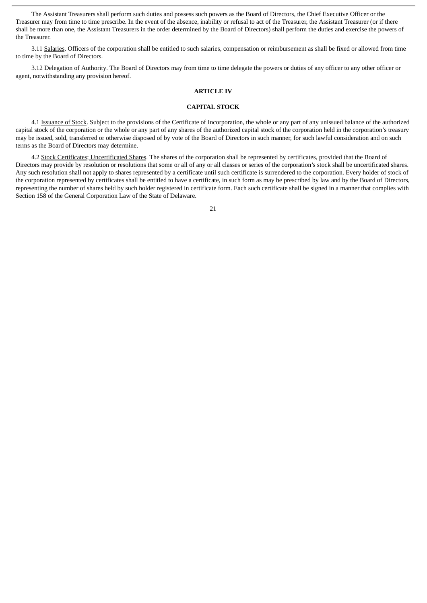The Assistant Treasurers shall perform such duties and possess such powers as the Board of Directors, the Chief Executive Officer or the Treasurer may from time to time prescribe. In the event of the absence, inability or refusal to act of the Treasurer, the Assistant Treasurer (or if there shall be more than one, the Assistant Treasurers in the order determined by the Board of Directors) shall perform the duties and exercise the powers of the Treasurer.

3.11 Salaries. Officers of the corporation shall be entitled to such salaries, compensation or reimbursement as shall be fixed or allowed from time to time by the Board of Directors.

3.12 Delegation of Authority. The Board of Directors may from time to time delegate the powers or duties of any officer to any other officer or agent, notwithstanding any provision hereof.

#### **ARTICLE IV**

#### **CAPITAL STOCK**

4.1 Issuance of Stock. Subject to the provisions of the Certificate of Incorporation, the whole or any part of any unissued balance of the authorized capital stock of the corporation or the whole or any part of any shares of the authorized capital stock of the corporation held in the corporation's treasury may be issued, sold, transferred or otherwise disposed of by vote of the Board of Directors in such manner, for such lawful consideration and on such terms as the Board of Directors may determine.

4.2 Stock Certificates; Uncertificated Shares. The shares of the corporation shall be represented by certificates, provided that the Board of Directors may provide by resolution or resolutions that some or all of any or all classes or series of the corporation's stock shall be uncertificated shares. Any such resolution shall not apply to shares represented by a certificate until such certificate is surrendered to the corporation. Every holder of stock of the corporation represented by certificates shall be entitled to have a certificate, in such form as may be prescribed by law and by the Board of Directors, representing the number of shares held by such holder registered in certificate form. Each such certificate shall be signed in a manner that complies with Section 158 of the General Corporation Law of the State of Delaware.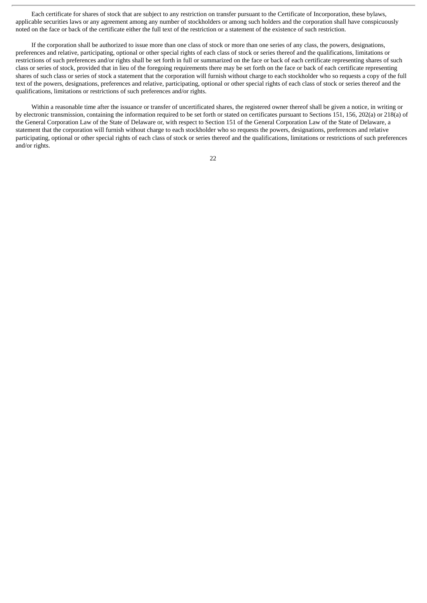Each certificate for shares of stock that are subject to any restriction on transfer pursuant to the Certificate of Incorporation, these bylaws, applicable securities laws or any agreement among any number of stockholders or among such holders and the corporation shall have conspicuously noted on the face or back of the certificate either the full text of the restriction or a statement of the existence of such restriction.

If the corporation shall be authorized to issue more than one class of stock or more than one series of any class, the powers, designations, preferences and relative, participating, optional or other special rights of each class of stock or series thereof and the qualifications, limitations or restrictions of such preferences and/or rights shall be set forth in full or summarized on the face or back of each certificate representing shares of such class or series of stock, provided that in lieu of the foregoing requirements there may be set forth on the face or back of each certificate representing shares of such class or series of stock a statement that the corporation will furnish without charge to each stockholder who so requests a copy of the full text of the powers, designations, preferences and relative, participating, optional or other special rights of each class of stock or series thereof and the qualifications, limitations or restrictions of such preferences and/or rights.

Within a reasonable time after the issuance or transfer of uncertificated shares, the registered owner thereof shall be given a notice, in writing or by electronic transmission, containing the information required to be set forth or stated on certificates pursuant to Sections 151, 156, 202(a) or 218(a) of the General Corporation Law of the State of Delaware or, with respect to Section 151 of the General Corporation Law of the State of Delaware, a statement that the corporation will furnish without charge to each stockholder who so requests the powers, designations, preferences and relative participating, optional or other special rights of each class of stock or series thereof and the qualifications, limitations or restrictions of such preferences and/or rights.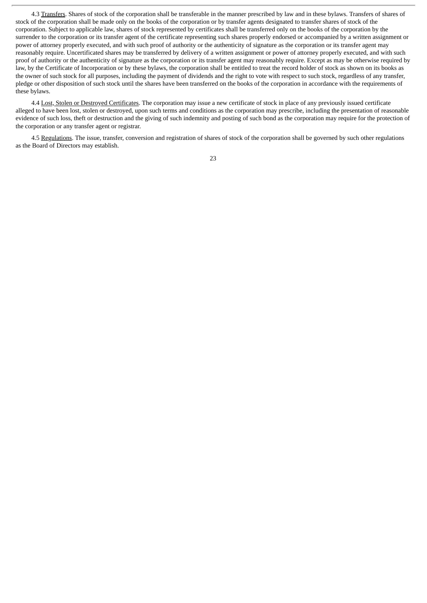4.3 Transfers. Shares of stock of the corporation shall be transferable in the manner prescribed by law and in these bylaws. Transfers of shares of stock of the corporation shall be made only on the books of the corporation or by transfer agents designated to transfer shares of stock of the corporation. Subject to applicable law, shares of stock represented by certificates shall be transferred only on the books of the corporation by the surrender to the corporation or its transfer agent of the certificate representing such shares properly endorsed or accompanied by a written assignment or power of attorney properly executed, and with such proof of authority or the authenticity of signature as the corporation or its transfer agent may reasonably require. Uncertificated shares may be transferred by delivery of a written assignment or power of attorney properly executed, and with such proof of authority or the authenticity of signature as the corporation or its transfer agent may reasonably require. Except as may be otherwise required by law, by the Certificate of Incorporation or by these bylaws, the corporation shall be entitled to treat the record holder of stock as shown on its books as the owner of such stock for all purposes, including the payment of dividends and the right to vote with respect to such stock, regardless of any transfer, pledge or other disposition of such stock until the shares have been transferred on the books of the corporation in accordance with the requirements of these bylaws.

4.4 Lost, Stolen or Destroyed Certificates. The corporation may issue a new certificate of stock in place of any previously issued certificate alleged to have been lost, stolen or destroyed, upon such terms and conditions as the corporation may prescribe, including the presentation of reasonable evidence of such loss, theft or destruction and the giving of such indemnity and posting of such bond as the corporation may require for the protection of the corporation or any transfer agent or registrar.

4.5 Regulations. The issue, transfer, conversion and registration of shares of stock of the corporation shall be governed by such other regulations as the Board of Directors may establish.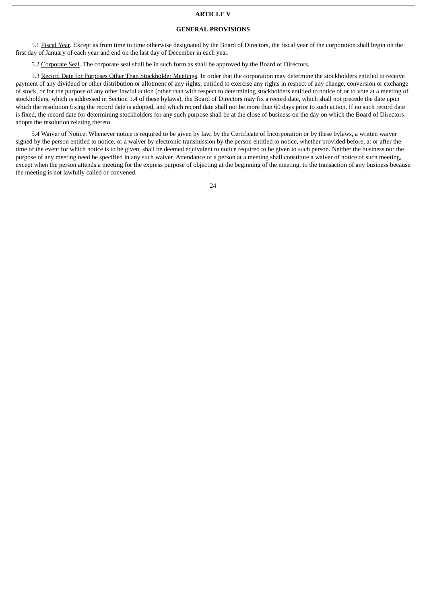#### **ARTICLE V**

#### **GENERAL PROVISIONS**

5.1 Fiscal Year. Except as from time to time otherwise designated by the Board of Directors, the fiscal year of the corporation shall begin on the first day of January of each year and end on the last day of December in each year.

5.2 Corporate Seal. The corporate seal shall be in such form as shall be approved by the Board of Directors.

5.3 Record Date for Purposes Other Than Stockholder Meetings. In order that the corporation may determine the stockholders entitled to receive payment of any dividend or other distribution or allotment of any rights, entitled to exercise any rights in respect of any change, conversion or exchange of stock, or for the purpose of any other lawful action (other than with respect to determining stockholders entitled to notice of or to vote at a meeting of stockholders, which is addressed in Section 1.4 of these bylaws), the Board of Directors may fix a record date, which shall not precede the date upon which the resolution fixing the record date is adopted, and which record date shall not be more than 60 days prior to such action. If no such record date is fixed, the record date for determining stockholders for any such purpose shall be at the close of business on the day on which the Board of Directors adopts the resolution relating thereto.

5.4 Waiver of Notice. Whenever notice is required to be given by law, by the Certificate of Incorporation or by these bylaws, a written waiver signed by the person entitled to notice, or a waiver by electronic transmission by the person entitled to notice, whether provided before, at or after the time of the event for which notice is to be given, shall be deemed equivalent to notice required to be given to such person. Neither the business nor the purpose of any meeting need be specified in any such waiver. Attendance of a person at a meeting shall constitute a waiver of notice of such meeting, except when the person attends a meeting for the express purpose of objecting at the beginning of the meeting, to the transaction of any business because the meeting is not lawfully called or convened.